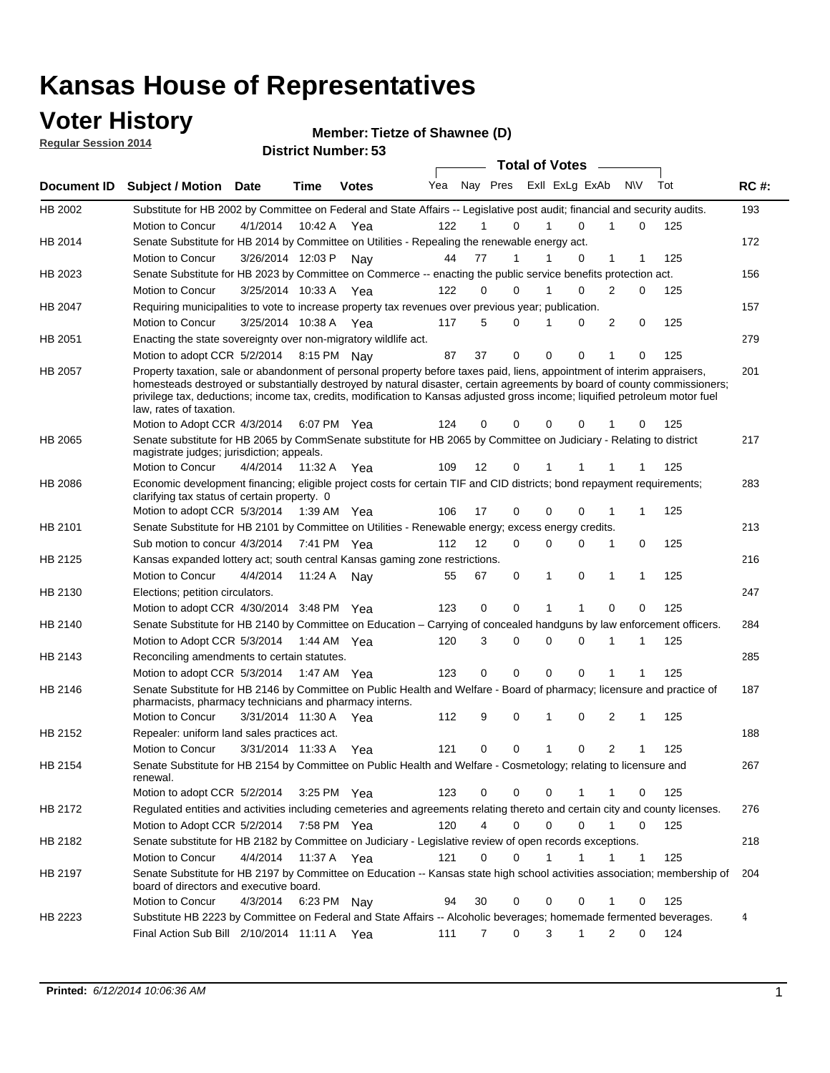### **Voter History**

**Regular Session 2014**

**Member: Tietze of Shawnee (D)** 

| <b>District Number: 53</b> |  |
|----------------------------|--|
|                            |  |

|                |                                                                                                                                                                                                                                                                                                                                                                                                                  |                       |             |              |     |                |          |              | <b>Total of Votes</b>       |                |             |     |             |
|----------------|------------------------------------------------------------------------------------------------------------------------------------------------------------------------------------------------------------------------------------------------------------------------------------------------------------------------------------------------------------------------------------------------------------------|-----------------------|-------------|--------------|-----|----------------|----------|--------------|-----------------------------|----------------|-------------|-----|-------------|
| Document ID    | <b>Subject / Motion</b>                                                                                                                                                                                                                                                                                                                                                                                          | Date                  | <b>Time</b> | <b>Votes</b> | Yea |                |          |              | Nay Pres ExII ExLg ExAb N\V |                |             | Tot | <b>RC#:</b> |
| HB 2002        | Substitute for HB 2002 by Committee on Federal and State Affairs -- Legislative post audit; financial and security audits.                                                                                                                                                                                                                                                                                       |                       |             |              |     |                |          |              |                             |                |             |     | 193         |
|                | Motion to Concur                                                                                                                                                                                                                                                                                                                                                                                                 | 4/1/2014              | 10:42 A     | Yea          | 122 | 1              | $\Omega$ | 1            | $\Omega$                    | 1              | $\Omega$    | 125 |             |
| HB 2014        | Senate Substitute for HB 2014 by Committee on Utilities - Repealing the renewable energy act.                                                                                                                                                                                                                                                                                                                    |                       |             |              |     |                |          |              |                             |                |             |     | 172         |
|                | Motion to Concur                                                                                                                                                                                                                                                                                                                                                                                                 | 3/26/2014 12:03 P     |             | Nay          | 44  | 77             | 1        | 1            | 0                           | 1              |             | 125 |             |
| HB 2023        | Senate Substitute for HB 2023 by Committee on Commerce -- enacting the public service benefits protection act.                                                                                                                                                                                                                                                                                                   |                       |             |              |     |                |          |              |                             |                |             |     | 156         |
|                | Motion to Concur                                                                                                                                                                                                                                                                                                                                                                                                 | 3/25/2014 10:33 A     |             | Yea          | 122 | 0              | $\Omega$ |              | $\Omega$                    | 2              | 0           | 125 |             |
| <b>HB 2047</b> | Requiring municipalities to vote to increase property tax revenues over previous year; publication.                                                                                                                                                                                                                                                                                                              |                       |             |              |     |                |          |              |                             |                |             |     | 157         |
|                | Motion to Concur                                                                                                                                                                                                                                                                                                                                                                                                 | 3/25/2014 10:38 A     |             | Yea          | 117 | 5              | $\Omega$ | 1            | $\Omega$                    | 2              | 0           | 125 |             |
| HB 2051        | Enacting the state sovereignty over non-migratory wildlife act.                                                                                                                                                                                                                                                                                                                                                  |                       |             |              |     |                |          |              |                             |                |             |     | 279         |
|                | Motion to adopt CCR 5/2/2014 8:15 PM Nay                                                                                                                                                                                                                                                                                                                                                                         |                       |             |              | 87  | 37             | 0        | $\mathbf 0$  | 0                           | 1              | 0           | 125 |             |
| HB 2057        | Property taxation, sale or abandonment of personal property before taxes paid, liens, appointment of interim appraisers,<br>homesteads destroyed or substantially destroyed by natural disaster, certain agreements by board of county commissioners;<br>privilege tax, deductions; income tax, credits, modification to Kansas adjusted gross income; liquified petroleum motor fuel<br>law, rates of taxation. |                       |             |              |     |                |          |              |                             |                |             |     | 201         |
|                | Motion to Adopt CCR 4/3/2014                                                                                                                                                                                                                                                                                                                                                                                     |                       | 6:07 PM Yea |              | 124 | 0              | 0        | 0            | $\Omega$                    |                | 0           | 125 |             |
| HB 2065        | Senate substitute for HB 2065 by CommSenate substitute for HB 2065 by Committee on Judiciary - Relating to district<br>magistrate judges; jurisdiction; appeals.                                                                                                                                                                                                                                                 |                       |             |              |     |                |          |              |                             |                |             |     | 217         |
|                | Motion to Concur                                                                                                                                                                                                                                                                                                                                                                                                 | 4/4/2014              | 11:32 A     | Yea          | 109 | 12             | 0        | 1            |                             |                |             | 125 |             |
| <b>HB 2086</b> | Economic development financing; eligible project costs for certain TIF and CID districts; bond repayment requirements;<br>clarifying tax status of certain property. 0                                                                                                                                                                                                                                           |                       |             |              |     |                |          |              |                             |                |             |     | 283         |
|                | Motion to adopt CCR 5/3/2014 1:39 AM Yea                                                                                                                                                                                                                                                                                                                                                                         |                       |             |              | 106 | 17             | 0        | $\mathbf 0$  | $\Omega$                    | 1              |             | 125 |             |
| HB 2101        | Senate Substitute for HB 2101 by Committee on Utilities - Renewable energy; excess energy credits.                                                                                                                                                                                                                                                                                                               |                       |             |              |     |                |          |              |                             |                |             |     | 213         |
|                | Sub motion to concur 4/3/2014 7:41 PM Yea                                                                                                                                                                                                                                                                                                                                                                        |                       |             |              | 112 | 12             | 0        | 0            | $\Omega$                    | 1              | 0           | 125 |             |
| HB 2125        | Kansas expanded lottery act; south central Kansas gaming zone restrictions.                                                                                                                                                                                                                                                                                                                                      |                       |             |              |     |                |          |              |                             |                |             |     | 216         |
|                | Motion to Concur                                                                                                                                                                                                                                                                                                                                                                                                 | 4/4/2014              | 11:24 A     | Nav          | 55  | 67             | 0        | 1            | 0                           | 1              | 1           | 125 |             |
| HB 2130        | Elections; petition circulators.                                                                                                                                                                                                                                                                                                                                                                                 |                       |             |              |     |                |          |              |                             |                |             |     | 247         |
|                | Motion to adopt CCR 4/30/2014 3:48 PM Yea                                                                                                                                                                                                                                                                                                                                                                        |                       |             |              | 123 | 0              | 0        | 1            | 1                           | $\Omega$       | 0           | 125 |             |
| HB 2140        | Senate Substitute for HB 2140 by Committee on Education – Carrying of concealed handguns by law enforcement officers.                                                                                                                                                                                                                                                                                            |                       |             |              |     |                |          |              |                             |                |             |     | 284         |
|                | Motion to Adopt CCR 5/3/2014 1:44 AM Yea                                                                                                                                                                                                                                                                                                                                                                         |                       |             |              | 120 | 3              | 0        | 0            | $\mathbf 0$                 | 1              | 1           | 125 |             |
| HB 2143        | Reconciling amendments to certain statutes.                                                                                                                                                                                                                                                                                                                                                                      |                       |             |              |     |                |          |              |                             |                |             |     | 285         |
|                | Motion to adopt CCR 5/3/2014 1:47 AM Yea                                                                                                                                                                                                                                                                                                                                                                         |                       |             |              | 123 | 0              | 0        | $\mathbf 0$  | 0                           | 1              | 1           | 125 |             |
| HB 2146        | Senate Substitute for HB 2146 by Committee on Public Health and Welfare - Board of pharmacy; licensure and practice of<br>pharmacists, pharmacy technicians and pharmacy interns.                                                                                                                                                                                                                                |                       |             |              |     |                |          |              |                             |                |             |     | 187         |
|                | Motion to Concur                                                                                                                                                                                                                                                                                                                                                                                                 | 3/31/2014 11:30 A Yea |             |              | 112 | 9              | 0        | 1            | 0                           | 2              | 1           | 125 |             |
| HB 2152        | Repealer: uniform land sales practices act.                                                                                                                                                                                                                                                                                                                                                                      |                       |             |              |     |                |          |              |                             |                |             |     | 188         |
|                | Motion to Concur                                                                                                                                                                                                                                                                                                                                                                                                 | 3/31/2014 11:33 A     |             | Yea          | 121 | 0              | 0        | $\mathbf{1}$ | 0                           | $\overline{2}$ | 1           | 125 |             |
| HB 2154        | Senate Substitute for HB 2154 by Committee on Public Health and Welfare - Cosmetology; relating to licensure and<br>renewal.                                                                                                                                                                                                                                                                                     |                       |             |              |     |                |          |              |                             |                |             |     | 267         |
|                | Motion to adopt CCR 5/2/2014                                                                                                                                                                                                                                                                                                                                                                                     |                       |             | 3:25 PM Yea  | 123 | 0              | 0        | 0            |                             |                | 0           | 125 |             |
| HB 2172        | Requlated entities and activities including cemeteries and agreements relating thereto and certain city and county licenses.                                                                                                                                                                                                                                                                                     |                       |             |              |     |                |          |              |                             |                |             |     | 276         |
|                | Motion to Adopt CCR 5/2/2014 7:58 PM Yea                                                                                                                                                                                                                                                                                                                                                                         |                       |             |              | 120 | $\overline{4}$ | 0        | $\mathbf 0$  | $\mathbf 0$                 | $\mathbf{1}$   | 0           | 125 |             |
| HB 2182        | Senate substitute for HB 2182 by Committee on Judiciary - Legislative review of open records exceptions.                                                                                                                                                                                                                                                                                                         |                       |             |              |     |                |          |              |                             |                |             |     | 218         |
|                | Motion to Concur                                                                                                                                                                                                                                                                                                                                                                                                 | 4/4/2014 11:37 A Yea  |             |              | 121 | 0              | 0        | 1            | 1                           | 1              | $\mathbf 1$ | 125 |             |
| HB 2197        | Senate Substitute for HB 2197 by Committee on Education -- Kansas state high school activities association; membership of<br>board of directors and executive board.                                                                                                                                                                                                                                             |                       |             |              |     |                |          |              |                             |                |             |     | 204         |
|                | Motion to Concur                                                                                                                                                                                                                                                                                                                                                                                                 | 4/3/2014              | 6:23 PM Nay |              | 94  | 30             | 0        | 0            | 0                           | 1              | 0           | 125 |             |
| HB 2223        | Substitute HB 2223 by Committee on Federal and State Affairs -- Alcoholic beverages; homemade fermented beverages.                                                                                                                                                                                                                                                                                               |                       |             |              |     |                |          |              |                             |                |             |     | 4           |
|                | Final Action Sub Bill 2/10/2014 11:11 A Yea                                                                                                                                                                                                                                                                                                                                                                      |                       |             |              | 111 | 7              | 0        | 3            | $\mathbf 1$                 | $\overline{2}$ | 0           | 124 |             |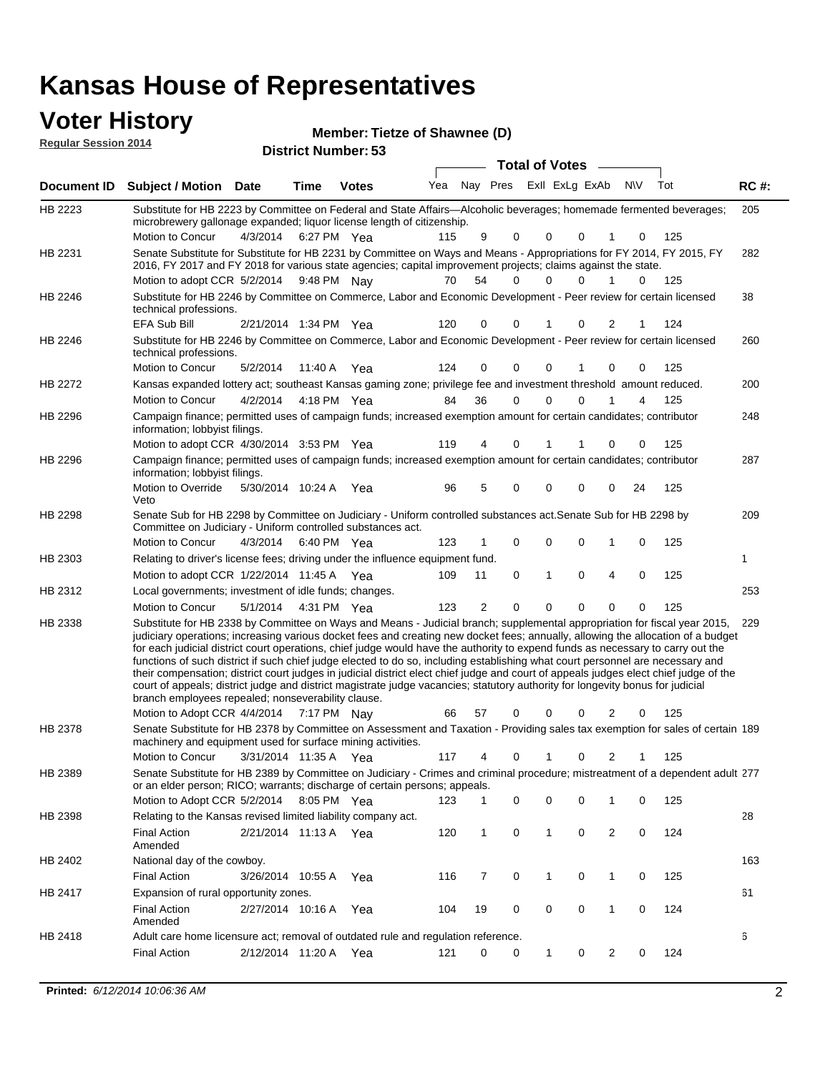### **Voter History**

HB 2296

HB 2298

HB 2303

HB 2418

Veto

information; lobbyist filings.

4/3/2014

Committee on Judiciary - Uniform controlled substances act.

6:40 PM Yea

Adult care home licensure act; removal of outdated rule and regulation reference.

Relating to driver's license fees; driving under the influence equipment fund.

| <b>Regular Session 2014</b> | <u>.</u>                                                                                                                                                                                                                               |                   |                            |              | Member: Tietze of Shawnee (D) |                         |                       |             |          |          |          |     |             |
|-----------------------------|----------------------------------------------------------------------------------------------------------------------------------------------------------------------------------------------------------------------------------------|-------------------|----------------------------|--------------|-------------------------------|-------------------------|-----------------------|-------------|----------|----------|----------|-----|-------------|
|                             |                                                                                                                                                                                                                                        |                   | <b>District Number: 53</b> |              |                               |                         | <b>Total of Votes</b> |             |          |          |          |     |             |
| Document <b>ID</b>          | <b>Subject / Motion</b>                                                                                                                                                                                                                | <b>Date</b>       | Time                       | <b>Votes</b> | Yea                           | Nay Pres ExII ExLg ExAb |                       |             |          |          | N\V      | Tot | <b>RC#:</b> |
| HB 2223                     | Substitute for HB 2223 by Committee on Federal and State Affairs—Alcoholic beverages; homemade fermented beverages;<br>microbrewery gallonage expanded; liquor license length of citizenship.                                          |                   |                            |              |                               |                         |                       |             |          |          |          |     | 205         |
|                             | Motion to Concur                                                                                                                                                                                                                       | 4/3/2014          | 6:27 PM Yea                |              | 115                           | 9                       | $\Omega$              | $\Omega$    | 0        |          |          | 125 |             |
| HB 2231                     | Senate Substitute for Substitute for HB 2231 by Committee on Ways and Means - Appropriations for FY 2014, FY 2015, FY<br>2016, FY 2017 and FY 2018 for various state agencies; capital improvement projects; claims against the state. |                   |                            |              |                               |                         |                       |             |          |          |          |     | 282         |
|                             | Motion to adopt CCR 5/2/2014 9:48 PM Nay                                                                                                                                                                                               |                   |                            |              | 70                            | 54                      | 0                     | $\mathbf 0$ | 0        |          | $\Omega$ | 125 |             |
| HB 2246                     | Substitute for HB 2246 by Committee on Commerce, Labor and Economic Development - Peer review for certain licensed<br>technical professions.                                                                                           |                   |                            |              |                               |                         |                       |             |          |          |          |     | 38          |
|                             | <b>EFA Sub Bill</b>                                                                                                                                                                                                                    | 2/21/2014 1:34 PM |                            | Yea          | 120                           | $\Omega$                | 0                     |             | $\Omega$ | 2        |          | 124 |             |
| HB 2246                     | Substitute for HB 2246 by Committee on Commerce, Labor and Economic Development - Peer review for certain licensed<br>technical professions.                                                                                           |                   |                            |              |                               |                         |                       |             |          |          |          |     | 260         |
|                             | Motion to Concur                                                                                                                                                                                                                       | 5/2/2014          | 11:40 A                    | Yea          | 124                           | $\Omega$                | $\Omega$              | $\Omega$    |          | $\Omega$ | 0        | 125 |             |
| <b>HB 2272</b>              | Kansas expanded lottery act; southeast Kansas gaming zone; privilege fee and investment threshold amount reduced.                                                                                                                      |                   |                            |              |                               |                         |                       |             |          |          |          |     | 200         |
|                             | Motion to Concur                                                                                                                                                                                                                       | 4/2/2014          | 4:18 PM Yea                |              | 84                            | 36                      | 0                     | $\Omega$    | 0        |          | 4        | 125 |             |
| HB 2296                     | Campaign finance; permitted uses of campaign funds; increased exemption amount for certain candidates; contributor<br>information; lobbyist filings.                                                                                   |                   |                            |              |                               |                         |                       |             |          |          |          |     | 248         |

1/22/2014 Motion to adopt CCR Yea 125 11:45 A 109 11 0 0 40 1 253 5/1/2014 HB 2312 Motion to Concur Yea 125 4:31 PM 123 2 0 0 00 0 Local governments; investment of idle funds; changes. Substitute for HB 2338 by Committee on Ways and Means - Judicial branch; supplemental appropriation for fiscal year 2015, 229 Motion to Adopt CCR 4/4/2014 7:17 PM Nay 66 57 0 0 0 2 0 125 HB 2338 judiciary operations; increasing various docket fees and creating new docket fees; annually, allowing the allocation of a budget for each judicial district court operations, chief judge would have the authority to expend funds as necessary to carry out the functions of such district if such chief judge elected to do so, including establishing what court personnel are necessary and their compensation; district court judges in judicial district elect chief judge and court of appeals judges elect chief judge of the court of appeals; district judge and district magistrate judge vacancies; statutory authority for longevity bonus for judicial branch employees repealed; nonseverability clause. 7:17 PM Nay 66 57 0 0 0 2 0

4/30/2014 Motion to adopt CCR Yea 125 3:53 PM 119 4 1 0 00 1

Campaign finance; permitted uses of campaign funds; increased exemption amount for certain candidates; contributor

Motion to Override 5/30/2014 10:24 A Yea 96 5 0 0 0 0 24 125

Senate Sub for HB 2298 by Committee on Judiciary - Uniform controlled substances act.Senate Sub for HB 2298 by

Motion to Concur 4/3/2014 6:40 PM Yea 123 1 0 0 0 1 0 125

Senate Substitute for HB 2378 by Committee on Assessment and Taxation - Providing sales tax exemption for sales of certain 189 3/31/2014 Motion to Concur Yea 125 11:35 A 117 4 0 0 21 1 HB 2378 machinery and equipment used for surface mining activities. Senate Substitute for HB 2389 by Committee on Judiciary - Crimes and criminal procedure; mistreatment of a dependent adult 277 Motion to Adopt CCR 5/2/2014 8:05 PM Yea 123 1 0 0 0 1 0 125 HB 2389 or an elder person; RICO; warrants; discharge of certain persons; appeals. 28 2/21/2014 Final Action Yea 124 11:13 A 120 1 0 0 20 1 HB 2398 Amended Relating to the Kansas revised limited liability company act. 163 Final Action 3/26/2014 10:55 A Yea 116 7 0 1 0 125 HB 2402 National day of the cowboy. 10:55 A 116 7 0 0 10 1 61 2/27/2014 Final Action Yea 124 10:16 A 104 19 0 0 10 0 HB 2417 Expansion of rural opportunity zones.

2/12/2014 Final Action Yea 124 11:20 A 121 0 0 0 20 1

Amended

6

287

209

1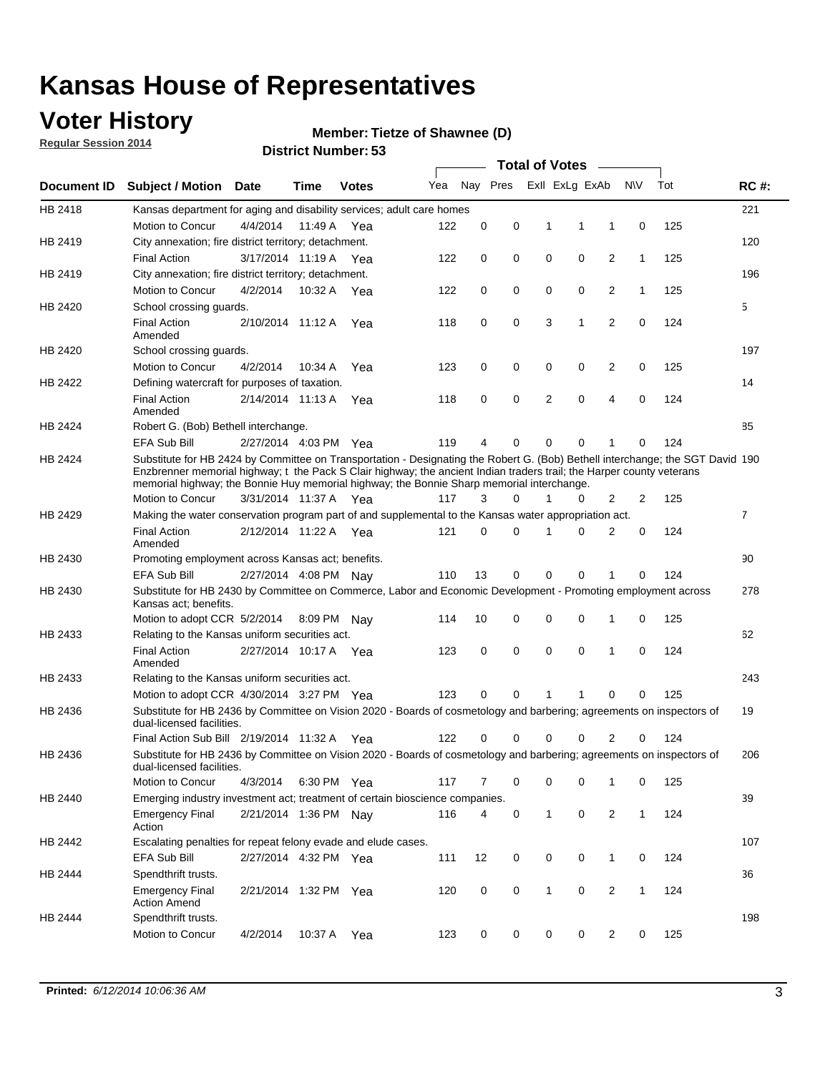### **Voter History**

**Regular Session 2014**

#### **Member: Tietze of Shawnee (D)**

|                    |                                                                                                                                                                                                                                                                                                                                                      |                       |             | DISTRICT MAILINGLESS |     |          |          |   | <b>Total of Votes</b> | $\sim$         |              |     |                |
|--------------------|------------------------------------------------------------------------------------------------------------------------------------------------------------------------------------------------------------------------------------------------------------------------------------------------------------------------------------------------------|-----------------------|-------------|----------------------|-----|----------|----------|---|-----------------------|----------------|--------------|-----|----------------|
| <b>Document ID</b> | <b>Subject / Motion</b>                                                                                                                                                                                                                                                                                                                              | Date                  | Time        | <b>Votes</b>         | Yea |          | Nay Pres |   | Exll ExLg ExAb        |                | <b>NV</b>    | Tot | <b>RC#:</b>    |
| HB 2418            | Kansas department for aging and disability services; adult care homes                                                                                                                                                                                                                                                                                |                       |             |                      |     |          |          |   |                       |                |              |     | 221            |
|                    | Motion to Concur                                                                                                                                                                                                                                                                                                                                     | 4/4/2014              | 11:49 A     | Yea                  | 122 | 0        | 0        | 1 | 1                     | 1              | 0            | 125 |                |
| HB 2419            | City annexation; fire district territory; detachment.                                                                                                                                                                                                                                                                                                |                       |             |                      |     |          |          |   |                       |                |              |     | 120            |
|                    | <b>Final Action</b>                                                                                                                                                                                                                                                                                                                                  | 3/17/2014 11:19 A Yea |             |                      | 122 | 0        | 0        | 0 | 0                     | 2              | $\mathbf{1}$ | 125 |                |
| HB 2419            | City annexation; fire district territory; detachment.                                                                                                                                                                                                                                                                                                |                       |             |                      |     |          |          |   |                       |                |              |     | 196            |
|                    | Motion to Concur                                                                                                                                                                                                                                                                                                                                     | 4/2/2014              | 10:32 A Yea |                      | 122 | 0        | 0        | 0 | 0                     | 2              | $\mathbf{1}$ | 125 |                |
| HB 2420            | School crossing guards.                                                                                                                                                                                                                                                                                                                              |                       |             |                      |     |          |          |   |                       |                |              |     | 5              |
|                    | <b>Final Action</b><br>Amended                                                                                                                                                                                                                                                                                                                       | 2/10/2014 11:12 A     |             | Yea                  | 118 | 0        | 0        | 3 | 1                     | $\overline{2}$ | 0            | 124 |                |
| HB 2420            | School crossing guards.                                                                                                                                                                                                                                                                                                                              |                       |             |                      |     |          |          |   |                       |                |              |     | 197            |
|                    | Motion to Concur                                                                                                                                                                                                                                                                                                                                     | 4/2/2014              | 10:34 A     | Yea                  | 123 | 0        | 0        | 0 | 0                     | 2              | 0            | 125 |                |
| HB 2422            | Defining watercraft for purposes of taxation.                                                                                                                                                                                                                                                                                                        |                       |             |                      |     |          |          |   |                       |                |              |     | 14             |
|                    | <b>Final Action</b><br>Amended                                                                                                                                                                                                                                                                                                                       | 2/14/2014 11:13 A     |             | Yea                  | 118 | 0        | 0        | 2 | $\mathbf 0$           | 4              | 0            | 124 |                |
| HB 2424            | Robert G. (Bob) Bethell interchange.                                                                                                                                                                                                                                                                                                                 |                       |             |                      |     |          |          |   |                       |                |              |     | 85             |
|                    | <b>EFA Sub Bill</b>                                                                                                                                                                                                                                                                                                                                  | 2/27/2014 4:03 PM Yea |             |                      | 119 | 4        | 0        | 0 | $\mathbf 0$           | 1              | 0            | 124 |                |
| HB 2424            | Substitute for HB 2424 by Committee on Transportation - Designating the Robert G. (Bob) Bethell interchange; the SGT David 190<br>Enzbrenner memorial highway; t the Pack S Clair highway; the ancient Indian traders trail; the Harper county veterans<br>memorial highway; the Bonnie Huy memorial highway; the Bonnie Sharp memorial interchange. |                       |             |                      |     |          |          |   |                       |                |              |     |                |
|                    | Motion to Concur                                                                                                                                                                                                                                                                                                                                     | 3/31/2014 11:37 A Yea |             |                      | 117 | 3        | $\Omega$ | 1 | 0                     | 2              | 2            | 125 |                |
| HB 2429            | Making the water conservation program part of and supplemental to the Kansas water appropriation act.                                                                                                                                                                                                                                                |                       |             |                      |     |          |          |   |                       |                |              |     | $\overline{7}$ |
|                    | <b>Final Action</b><br>Amended                                                                                                                                                                                                                                                                                                                       | 2/12/2014 11:22 A Yea |             |                      | 121 | $\Omega$ | 0        | 1 | $\Omega$              | 2              | 0            | 124 |                |
| HB 2430            | Promoting employment across Kansas act; benefits.                                                                                                                                                                                                                                                                                                    |                       |             |                      |     |          |          |   |                       |                |              |     | 90             |
|                    | <b>EFA Sub Bill</b>                                                                                                                                                                                                                                                                                                                                  | 2/27/2014 4:08 PM Nav |             |                      | 110 | 13       | 0        | 0 | 0                     | 1              | 0            | 124 |                |
| HB 2430            | Substitute for HB 2430 by Committee on Commerce, Labor and Economic Development - Promoting employment across<br>Kansas act; benefits.                                                                                                                                                                                                               |                       |             |                      |     |          |          |   |                       |                |              |     | 278            |
|                    | Motion to adopt CCR 5/2/2014                                                                                                                                                                                                                                                                                                                         |                       | 8:09 PM     | Nav                  | 114 | 10       | 0        | 0 | 0                     | 1              | 0            | 125 |                |
| HB 2433            | Relating to the Kansas uniform securities act.                                                                                                                                                                                                                                                                                                       |                       |             |                      |     |          |          |   |                       |                |              |     | 62             |
|                    | <b>Final Action</b><br>Amended                                                                                                                                                                                                                                                                                                                       | 2/27/2014 10:17 A Yea |             |                      | 123 | 0        | 0        | 0 | $\mathbf 0$           | 1              | 0            | 124 |                |
| HB 2433            | Relating to the Kansas uniform securities act.                                                                                                                                                                                                                                                                                                       |                       |             |                      |     |          |          |   |                       |                |              |     | 243            |
|                    | Motion to adopt CCR 4/30/2014 3:27 PM Yea                                                                                                                                                                                                                                                                                                            |                       |             |                      | 123 | $\Omega$ | 0        | 1 | 1                     | 0              | 0            | 125 |                |
| HB 2436            | Substitute for HB 2436 by Committee on Vision 2020 - Boards of cosmetology and barbering; agreements on inspectors of<br>dual-licensed facilities.                                                                                                                                                                                                   |                       |             |                      |     |          |          |   |                       |                |              |     | 19             |
|                    | Final Action Sub Bill 2/19/2014 11:32 A                                                                                                                                                                                                                                                                                                              |                       |             | Yea                  | 122 | O        | 0        | 0 | 0                     | 2              | 0            | 124 |                |
| HB 2436            | Substitute for HB 2436 by Committee on Vision 2020 - Boards of cosmetology and barbering; agreements on inspectors of<br>dual-licensed facilities.                                                                                                                                                                                                   |                       |             |                      |     |          |          |   |                       |                |              |     | 206            |
|                    | Motion to Concur                                                                                                                                                                                                                                                                                                                                     | 4/3/2014              | 6:30 PM Yea |                      | 117 | 7        | 0        | 0 | 0                     | 1              | 0            | 125 |                |
| HB 2440            | Emerging industry investment act; treatment of certain bioscience companies.                                                                                                                                                                                                                                                                         |                       |             |                      |     |          |          |   |                       |                |              |     | 39             |
|                    | <b>Emergency Final</b><br>Action                                                                                                                                                                                                                                                                                                                     | 2/21/2014 1:36 PM Nay |             |                      | 116 | 4        | 0        | 1 | 0                     | 2              | $\mathbf{1}$ | 124 |                |
| HB 2442            | Escalating penalties for repeat felony evade and elude cases.                                                                                                                                                                                                                                                                                        |                       |             |                      |     |          |          |   |                       |                |              |     | 107            |
|                    | EFA Sub Bill                                                                                                                                                                                                                                                                                                                                         | 2/27/2014 4:32 PM Yea |             |                      | 111 | 12       | 0        | 0 | 0                     | $\mathbf{1}$   | 0            | 124 |                |
| HB 2444            | Spendthrift trusts.                                                                                                                                                                                                                                                                                                                                  |                       |             |                      |     |          |          |   |                       |                |              |     | 36             |
|                    | <b>Emergency Final</b><br><b>Action Amend</b>                                                                                                                                                                                                                                                                                                        | 2/21/2014 1:32 PM Yea |             |                      | 120 | 0        | 0        | 1 | 0                     | $\overline{2}$ | $\mathbf{1}$ | 124 |                |
| HB 2444            | Spendthrift trusts.                                                                                                                                                                                                                                                                                                                                  |                       |             |                      |     |          |          |   |                       |                |              |     | 198            |
|                    | Motion to Concur                                                                                                                                                                                                                                                                                                                                     | 4/2/2014              | 10:37 A Yea |                      | 123 | 0        | 0        | 0 | 0                     | 2              | 0            | 125 |                |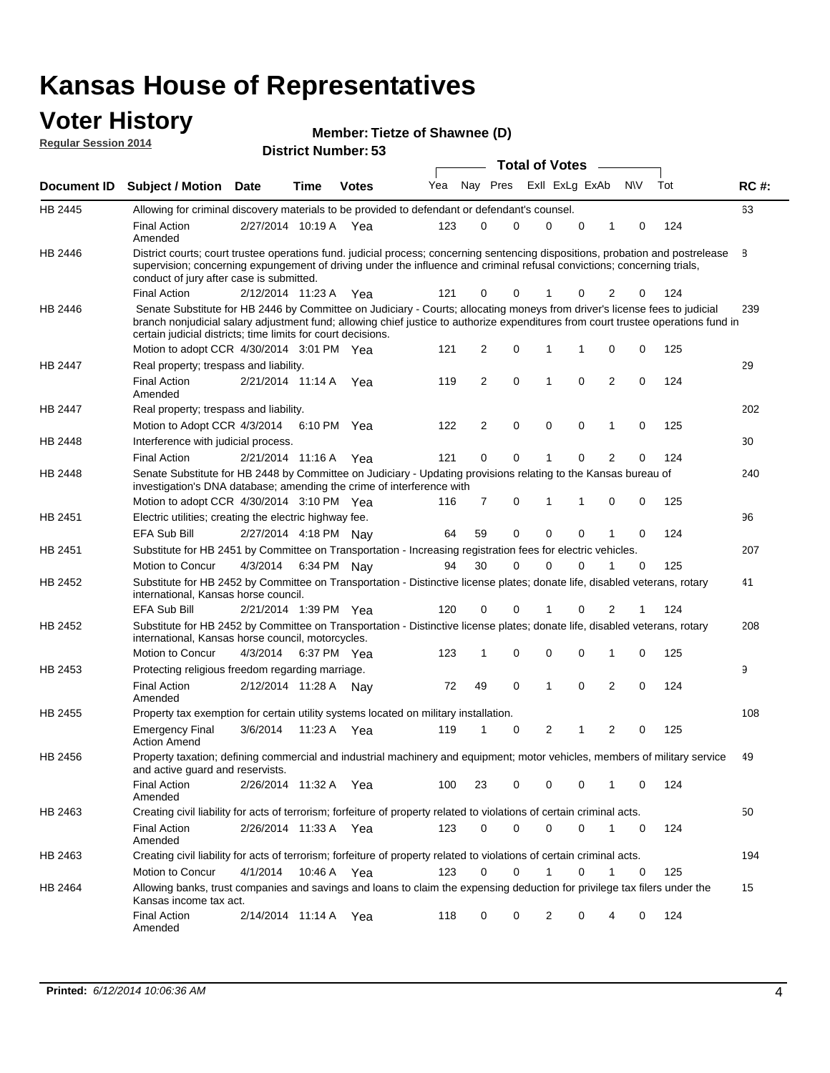#### **Voter History Regular Session 2014**

| Member: Tietze of Shawnee (D) |  |  |
|-------------------------------|--|--|
|-------------------------------|--|--|

| <b>District Number: 53</b> |  |
|----------------------------|--|

|                    |                                                                                                                                                                                                                                                                                                                                 |                       |      |              |     |                |          |             | <b>Total of Votes</b> |             |                |           |     |             |
|--------------------|---------------------------------------------------------------------------------------------------------------------------------------------------------------------------------------------------------------------------------------------------------------------------------------------------------------------------------|-----------------------|------|--------------|-----|----------------|----------|-------------|-----------------------|-------------|----------------|-----------|-----|-------------|
| <b>Document ID</b> | <b>Subject / Motion Date</b>                                                                                                                                                                                                                                                                                                    |                       | Time | <b>Votes</b> | Yea |                | Nay Pres |             | Exll ExLg ExAb        |             |                | <b>NV</b> | Tot | <b>RC#:</b> |
| HB 2445            | Allowing for criminal discovery materials to be provided to defendant or defendant's counsel.                                                                                                                                                                                                                                   |                       |      |              |     |                |          |             |                       |             |                |           |     | 63          |
|                    | <b>Final Action</b><br>Amended                                                                                                                                                                                                                                                                                                  | 2/27/2014 10:19 A     |      | Yea          | 123 | 0              |          | 0           | $\mathbf 0$           | $\mathbf 0$ | 1              | 0         | 124 |             |
| HB 2446            | District courts; court trustee operations fund. judicial process; concerning sentencing dispositions, probation and postrelease<br>supervision; concerning expungement of driving under the influence and criminal refusal convictions; concerning trials,<br>conduct of jury after case is submitted.                          |                       |      |              |     |                |          |             |                       |             |                |           |     | 8           |
|                    | <b>Final Action</b>                                                                                                                                                                                                                                                                                                             | 2/12/2014 11:23 A Yea |      |              | 121 | 0              |          | 0           |                       | 0           | 2              | 0         | 124 |             |
| HB 2446            | Senate Substitute for HB 2446 by Committee on Judiciary - Courts; allocating moneys from driver's license fees to judicial<br>branch nonjudicial salary adjustment fund; allowing chief justice to authorize expenditures from court trustee operations fund in<br>certain judicial districts; time limits for court decisions. |                       |      |              |     |                |          |             |                       |             |                |           |     | 239         |
|                    | Motion to adopt CCR 4/30/2014 3:01 PM Yea                                                                                                                                                                                                                                                                                       |                       |      |              | 121 | 2              |          | 0           | 1                     | 1           | 0              | 0         | 125 |             |
| <b>HB 2447</b>     | Real property; trespass and liability.                                                                                                                                                                                                                                                                                          |                       |      |              |     |                |          |             |                       |             |                |           |     | 29          |
|                    | <b>Final Action</b><br>Amended                                                                                                                                                                                                                                                                                                  | 2/21/2014 11:14 A     |      | Yea          | 119 | 2              |          | 0           | 1                     | 0           | $\overline{2}$ | 0         | 124 |             |
| HB 2447            | Real property; trespass and liability.                                                                                                                                                                                                                                                                                          |                       |      |              |     |                |          |             |                       |             |                |           |     | 202         |
|                    | Motion to Adopt CCR 4/3/2014                                                                                                                                                                                                                                                                                                    |                       |      | 6:10 PM Yea  | 122 | $\overline{2}$ |          | 0           | $\mathbf 0$           | $\mathbf 0$ | 1              | 0         | 125 |             |
| HB 2448            | Interference with judicial process.                                                                                                                                                                                                                                                                                             |                       |      |              |     |                |          |             |                       |             |                |           |     | 30          |
|                    | <b>Final Action</b>                                                                                                                                                                                                                                                                                                             | 2/21/2014 11:16 A Yea |      |              | 121 | 0              |          | $\mathbf 0$ | -1                    | $\Omega$    | $\overline{2}$ | 0         | 124 |             |
| HB 2448            | Senate Substitute for HB 2448 by Committee on Judiciary - Updating provisions relating to the Kansas bureau of<br>investigation's DNA database; amending the crime of interference with                                                                                                                                         |                       |      |              |     |                |          |             |                       |             |                |           |     | 240         |
|                    | Motion to adopt CCR 4/30/2014 3:10 PM Yea                                                                                                                                                                                                                                                                                       |                       |      |              | 116 | 7              |          | 0           | 1                     | 1           | 0              | 0         | 125 |             |
| HB 2451            | Electric utilities; creating the electric highway fee.                                                                                                                                                                                                                                                                          |                       |      |              |     |                |          |             |                       |             |                |           |     | 96          |
|                    | EFA Sub Bill                                                                                                                                                                                                                                                                                                                    | 2/27/2014 4:18 PM Nay |      |              | 64  | 59             |          | 0           | $\mathbf 0$           | 0           | 1              | 0         | 124 |             |
| HB 2451            | Substitute for HB 2451 by Committee on Transportation - Increasing registration fees for electric vehicles.                                                                                                                                                                                                                     |                       |      |              |     |                |          |             |                       |             |                |           |     | 207         |
|                    | Motion to Concur                                                                                                                                                                                                                                                                                                                | 4/3/2014              |      | 6:34 PM Nay  | 94  | 30             |          | 0           | $\Omega$              | 0           |                | 0         | 125 |             |
| HB 2452            | Substitute for HB 2452 by Committee on Transportation - Distinctive license plates; donate life, disabled veterans, rotary<br>international, Kansas horse council.                                                                                                                                                              |                       |      |              |     |                |          |             |                       |             |                |           |     | 41          |
|                    | <b>EFA Sub Bill</b>                                                                                                                                                                                                                                                                                                             | 2/21/2014 1:39 PM Yea |      |              | 120 | 0              |          | 0           |                       | 0           | 2              | 1         | 124 |             |
| HB 2452            | Substitute for HB 2452 by Committee on Transportation - Distinctive license plates; donate life, disabled veterans, rotary<br>international, Kansas horse council, motorcycles.                                                                                                                                                 |                       |      |              |     |                |          |             |                       |             |                |           |     | 208         |
|                    | Motion to Concur                                                                                                                                                                                                                                                                                                                | 4/3/2014              |      | 6:37 PM Yea  | 123 | 1              |          | 0           | 0                     | 0           | 1              | 0         | 125 |             |
| HB 2453            | Protecting religious freedom regarding marriage.                                                                                                                                                                                                                                                                                |                       |      |              |     |                |          |             |                       |             |                |           |     | 9           |
|                    | <b>Final Action</b><br>Amended                                                                                                                                                                                                                                                                                                  | 2/12/2014 11:28 A Nay |      |              | 72  | 49             |          | $\mathbf 0$ | 1                     | 0           | $\overline{2}$ | 0         | 124 |             |
| HB 2455            | Property tax exemption for certain utility systems located on military installation.                                                                                                                                                                                                                                            |                       |      |              |     |                |          |             |                       |             |                |           |     | 108         |
|                    | <b>Emergency Final</b><br><b>Action Amend</b>                                                                                                                                                                                                                                                                                   | 3/6/2014              |      | 11:23 A Yea  | 119 | 1              |          | 0           | 2                     | 1           | $\overline{2}$ | 0         | 125 |             |
| HB 2456            | Property taxation; defining commercial and industrial machinery and equipment; motor vehicles, members of military service<br>and active guard and reservists.                                                                                                                                                                  |                       |      |              |     |                |          |             |                       |             |                |           |     | 49          |
|                    | <b>Final Action</b><br>Amended                                                                                                                                                                                                                                                                                                  | 2/26/2014 11:32 A Yea |      |              | 100 | 23             |          | 0           | 0                     | 0           | 1              | 0         | 124 |             |
| HB 2463            | Creating civil liability for acts of terrorism; forfeiture of property related to violations of certain criminal acts.                                                                                                                                                                                                          |                       |      |              |     |                |          |             |                       |             |                |           |     | 50          |
|                    | <b>Final Action</b><br>Amended                                                                                                                                                                                                                                                                                                  | 2/26/2014 11:33 A Yea |      |              | 123 | 0              |          | 0           | $\mathbf 0$           | $\mathbf 0$ | $\mathbf{1}$   | 0         | 124 |             |
| HB 2463            | Creating civil liability for acts of terrorism; forfeiture of property related to violations of certain criminal acts.                                                                                                                                                                                                          |                       |      |              |     |                |          |             |                       |             |                |           |     | 194         |
|                    | Motion to Concur                                                                                                                                                                                                                                                                                                                | 4/1/2014              |      | 10:46 A Yea  | 123 | 0              |          | 0           | 1                     | 0           | $\mathbf{1}$   | 0         | 125 |             |
| HB 2464            | Allowing banks, trust companies and savings and loans to claim the expensing deduction for privilege tax filers under the<br>Kansas income tax act.                                                                                                                                                                             |                       |      |              |     |                |          |             |                       |             |                |           |     | 15          |
|                    | <b>Final Action</b><br>Amended                                                                                                                                                                                                                                                                                                  | 2/14/2014 11:14 A Yea |      |              | 118 | 0              |          | 0           | 2                     | 0           | 4              | 0         | 124 |             |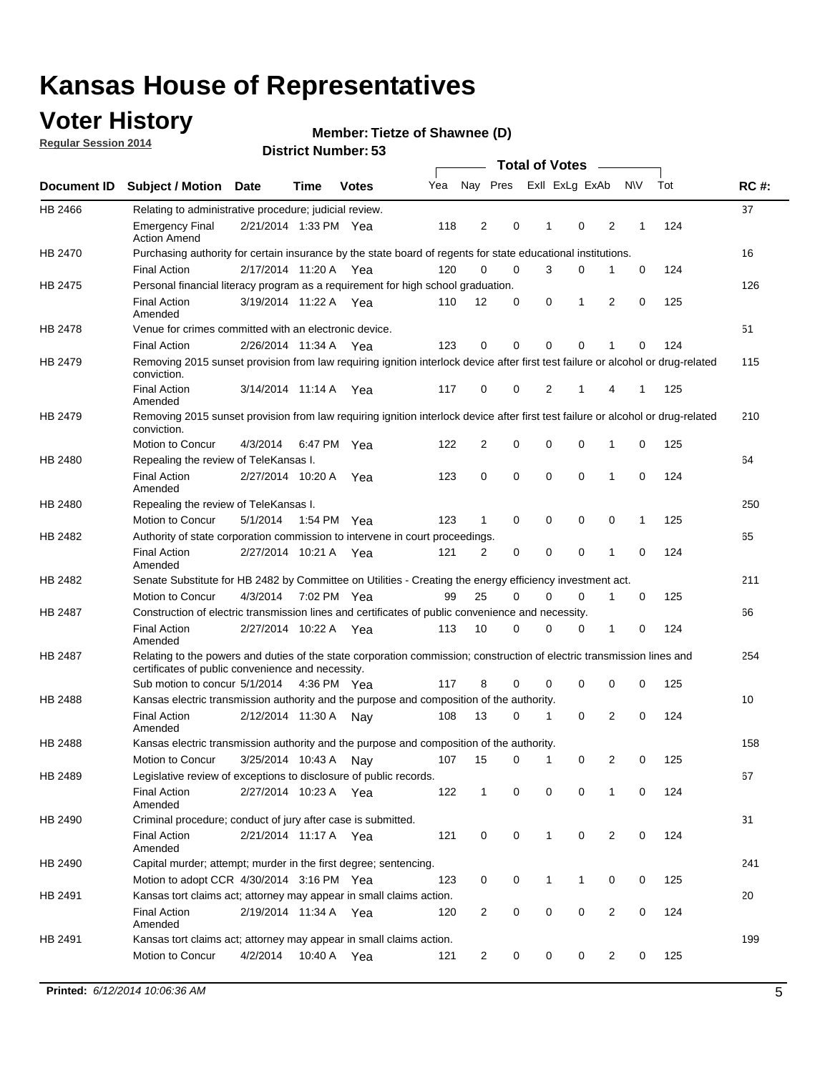### **Voter History**

**Regular Session 2014**

#### **Member: Tietze of Shawnee (D)**

|         |                                                                                                                                                                             |                       |             |              |     |                |                         |              | <b>Total of Votes</b> |                            |                  |     |     |             |
|---------|-----------------------------------------------------------------------------------------------------------------------------------------------------------------------------|-----------------------|-------------|--------------|-----|----------------|-------------------------|--------------|-----------------------|----------------------------|------------------|-----|-----|-------------|
|         | Document ID Subject / Motion Date                                                                                                                                           |                       | Time        | <b>Votes</b> | Yea |                | Nay Pres ExII ExLg ExAb |              |                       |                            | <b>NV</b>        | Tot |     | <b>RC#:</b> |
| HB 2466 | Relating to administrative procedure; judicial review.                                                                                                                      |                       |             |              |     |                |                         |              |                       |                            |                  |     |     | 37          |
|         | <b>Emergency Final</b><br><b>Action Amend</b>                                                                                                                               | 2/21/2014 1:33 PM Yea |             |              | 118 | 2              | $\mathbf 0$             | $\mathbf{1}$ |                       | $\mathbf 0$                | 2<br>1           |     | 124 |             |
| HB 2470 | Purchasing authority for certain insurance by the state board of regents for state educational institutions.                                                                |                       |             |              |     |                |                         |              |                       |                            |                  |     |     | 16          |
|         | <b>Final Action</b>                                                                                                                                                         | 2/17/2014 11:20 A Yea |             |              | 120 | 0              | 0                       |              | 3                     | 0                          | $\mathbf 0$<br>1 |     | 124 |             |
| HB 2475 | Personal financial literacy program as a requirement for high school graduation.                                                                                            |                       |             |              |     |                |                         |              |                       |                            |                  |     |     | 126         |
|         | <b>Final Action</b><br>Amended                                                                                                                                              | 3/19/2014 11:22 A Yea |             |              | 110 | 12             | 0                       | 0            |                       | 1                          | 2<br>0           |     | 125 |             |
| HB 2478 | Venue for crimes committed with an electronic device.                                                                                                                       |                       |             |              |     |                |                         |              |                       |                            |                  |     |     | 51          |
|         | <b>Final Action</b>                                                                                                                                                         | 2/26/2014 11:34 A     |             | Yea          | 123 | 0              | 0                       | $\Omega$     |                       | $\mathbf 0$                | 1                | 0   | 124 |             |
| HB 2479 | Removing 2015 sunset provision from law requiring ignition interlock device after first test failure or alcohol or drug-related<br>conviction.                              |                       |             |              |     |                |                         |              |                       |                            |                  |     |     | 115         |
|         | <b>Final Action</b><br>Amended                                                                                                                                              | 3/14/2014 11:14 A     |             | Yea          | 117 | 0              | 0                       | 2            |                       | 1                          | 4<br>1           |     | 125 |             |
| HB 2479 | Removing 2015 sunset provision from law requiring ignition interlock device after first test failure or alcohol or drug-related<br>conviction.                              |                       |             |              |     |                |                         |              |                       |                            |                  |     |     | 210         |
|         | Motion to Concur                                                                                                                                                            | 4/3/2014              | 6:47 PM Yea |              | 122 | 2              | 0                       | $\mathbf 0$  |                       | $\mathbf 0$                | 1<br>0           |     | 125 |             |
| HB 2480 | Repealing the review of TeleKansas I.                                                                                                                                       |                       |             |              |     |                |                         |              |                       |                            |                  |     |     | 64          |
|         | <b>Final Action</b><br>Amended                                                                                                                                              | 2/27/2014 10:20 A Yea |             |              | 123 | 0              | 0                       | 0            |                       | $\mathbf 0$                | 1<br>$\Omega$    |     | 124 |             |
| HB 2480 | Repealing the review of TeleKansas I.                                                                                                                                       |                       |             |              |     |                |                         |              |                       |                            |                  |     |     | 250         |
|         | Motion to Concur                                                                                                                                                            | 5/1/2014              | 1:54 PM Yea |              | 123 | 1              | $\mathbf 0$             | $\mathbf 0$  |                       | $\mathbf 0$<br>$\mathbf 0$ |                  | 1   | 125 |             |
| HB 2482 | Authority of state corporation commission to intervene in court proceedings.                                                                                                |                       |             |              |     |                |                         |              |                       |                            |                  |     |     | 65          |
|         | <b>Final Action</b><br>Amended                                                                                                                                              | 2/27/2014 10:21 A     |             | Yea          | 121 | 2              | $\mathbf 0$             | $\mathbf 0$  |                       | $\mathbf 0$                | 1<br>$\Omega$    |     | 124 |             |
| HB 2482 | Senate Substitute for HB 2482 by Committee on Utilities - Creating the energy efficiency investment act.                                                                    |                       |             |              |     |                |                         |              |                       |                            |                  |     |     | 211         |
|         | Motion to Concur                                                                                                                                                            | 4/3/2014 7:02 PM Yea  |             |              | 99  | 25             | 0                       | $\Omega$     |                       | 0                          | 1                | 0   | 125 |             |
| HB 2487 | Construction of electric transmission lines and certificates of public convenience and necessity.                                                                           |                       |             |              |     |                |                         |              |                       |                            |                  |     |     | 66          |
|         | <b>Final Action</b><br>Amended                                                                                                                                              | 2/27/2014 10:22 A Yea |             |              | 113 | 10             | 0                       | $\mathbf 0$  |                       | 0                          | 1                | 0   | 124 |             |
| HB 2487 | Relating to the powers and duties of the state corporation commission; construction of electric transmission lines and<br>certificates of public convenience and necessity. |                       |             |              |     |                |                         |              |                       |                            |                  |     |     | 254         |
|         | Sub motion to concur 5/1/2014 4:36 PM Yea                                                                                                                                   |                       |             |              | 117 | 8              | 0                       | 0            |                       | $\mathbf 0$                | 0<br>0           |     | 125 |             |
| HB 2488 | Kansas electric transmission authority and the purpose and composition of the authority.                                                                                    |                       |             |              |     |                |                         |              |                       |                            |                  |     |     | 10          |
|         | <b>Final Action</b><br>Amended                                                                                                                                              | 2/12/2014 11:30 A     |             | Nav          | 108 | 13             | 0                       | $\mathbf{1}$ |                       | 0                          | 2<br>0           |     | 124 |             |
| HB 2488 | Kansas electric transmission authority and the purpose and composition of the authority.                                                                                    |                       |             |              |     |                |                         |              |                       |                            |                  |     |     | 158         |
|         | Motion to Concur                                                                                                                                                            | 3/25/2014 10:43 A     |             | Nav          | 107 | 15             | 0                       | 1            |                       | 0                          | 2                | 0   | 125 |             |
| HB 2489 | Legislative review of exceptions to disclosure of public records.                                                                                                           |                       |             |              |     |                |                         |              |                       |                            |                  |     |     | 67          |
|         | <b>Final Action</b><br>Amended                                                                                                                                              | 2/27/2014 10:23 A Yea |             |              | 122 | $\mathbf{1}$   | 0                       | 0            |                       | 0                          | 1                | 0   | 124 |             |
| HB 2490 | Criminal procedure; conduct of jury after case is submitted.                                                                                                                |                       |             |              |     |                |                         |              |                       |                            |                  |     |     | 31          |
|         | <b>Final Action</b><br>Amended                                                                                                                                              | 2/21/2014 11:17 A Yea |             |              | 121 | 0              | 0                       | $\mathbf{1}$ |                       | $\mathbf 0$                | 2                | 0   | 124 |             |
| HB 2490 | Capital murder; attempt; murder in the first degree; sentencing.                                                                                                            |                       |             |              |     |                |                         |              |                       |                            |                  |     |     | 241         |
|         | Motion to adopt CCR 4/30/2014 3:16 PM Yea                                                                                                                                   |                       |             |              | 123 | 0              | 0                       | 1            |                       | $\mathbf{1}$               | 0                | 0   | 125 |             |
| HB 2491 | Kansas tort claims act; attorney may appear in small claims action.                                                                                                         |                       |             |              |     |                |                         |              |                       |                            |                  |     |     | 20          |
|         | <b>Final Action</b><br>Amended                                                                                                                                              | 2/19/2014 11:34 A Yea |             |              | 120 | 2              | 0                       | 0            |                       | 0                          | $\overline{2}$   | 0   | 124 |             |
| HB 2491 | Kansas tort claims act; attorney may appear in small claims action.                                                                                                         |                       |             |              |     |                |                         |              |                       |                            |                  |     |     | 199         |
|         | Motion to Concur                                                                                                                                                            | 4/2/2014              | 10:40 A Yea |              | 121 | $\overline{2}$ | 0                       | 0            |                       | 0                          | $\overline{2}$   | 0   | 125 |             |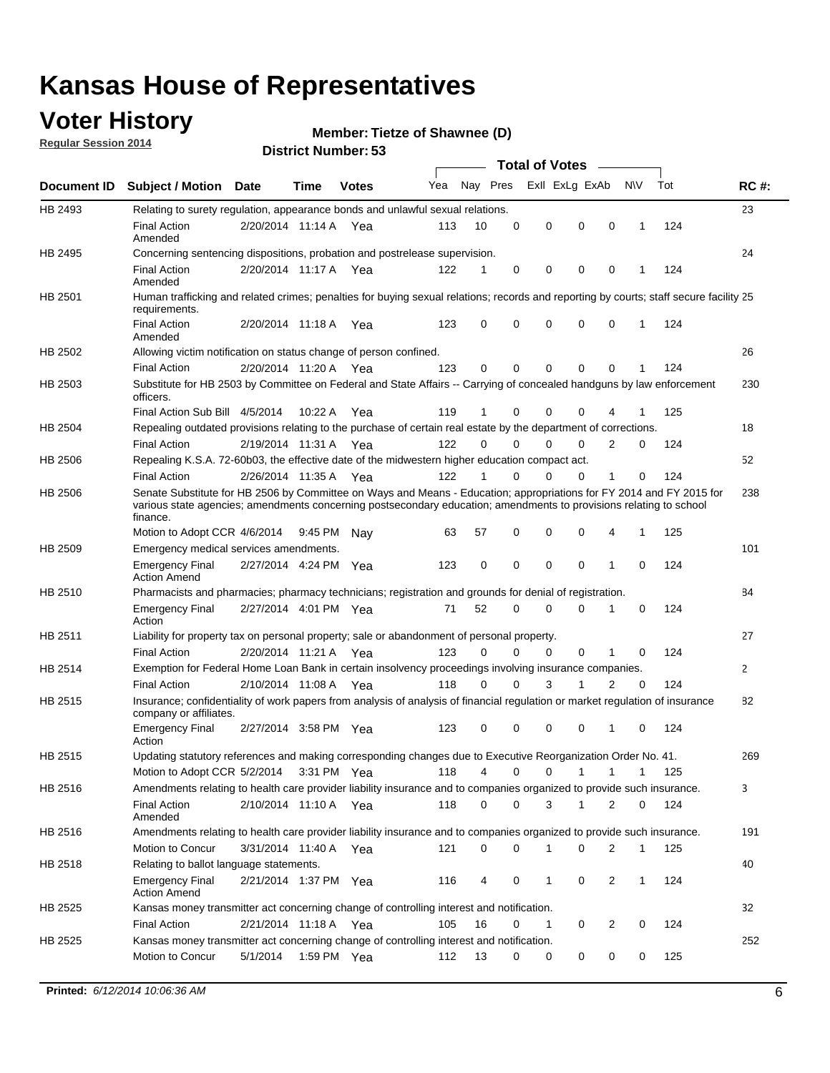### **Voter History**

**Regular Session 2014**

#### **Member: Tietze of Shawnee (D)**

|                    |                                                                                                                                                                                                                                                        |                       |         |              |     |          |          | <b>Total of Votes</b> |              |                |              |     |              |
|--------------------|--------------------------------------------------------------------------------------------------------------------------------------------------------------------------------------------------------------------------------------------------------|-----------------------|---------|--------------|-----|----------|----------|-----------------------|--------------|----------------|--------------|-----|--------------|
| <b>Document ID</b> | <b>Subject / Motion Date</b>                                                                                                                                                                                                                           |                       | Time    | <b>Votes</b> | Yea | Nay Pres |          | Exll ExLg ExAb        |              |                | N\V          | Tot | <b>RC#:</b>  |
| HB 2493            | Relating to surety regulation, appearance bonds and unlawful sexual relations.                                                                                                                                                                         |                       |         |              |     |          |          |                       |              |                |              |     | 23           |
|                    | <b>Final Action</b><br>Amended                                                                                                                                                                                                                         | 2/20/2014 11:14 A     |         | Yea          | 113 | 10       | 0        | 0                     | $\mathbf 0$  | 0              | $\mathbf 1$  | 124 |              |
| HB 2495            | Concerning sentencing dispositions, probation and postrelease supervision.                                                                                                                                                                             |                       |         |              |     |          |          |                       |              |                |              |     | 24           |
|                    | Final Action<br>Amended                                                                                                                                                                                                                                | 2/20/2014 11:17 A Yea |         |              | 122 | 1        | 0        | 0                     | 0            | $\mathbf 0$    | 1            | 124 |              |
| HB 2501            | Human trafficking and related crimes; penalties for buying sexual relations; records and reporting by courts; staff secure facility 25<br>requirements.                                                                                                |                       |         |              |     |          |          |                       |              |                |              |     |              |
|                    | <b>Final Action</b><br>Amended                                                                                                                                                                                                                         | 2/20/2014 11:18 A Yea |         |              | 123 | 0        | 0        | 0                     | 0            | $\mathbf 0$    | 1            | 124 |              |
| HB 2502            | Allowing victim notification on status change of person confined.                                                                                                                                                                                      |                       |         |              |     |          |          |                       |              |                |              |     | 26           |
|                    | <b>Final Action</b>                                                                                                                                                                                                                                    | 2/20/2014 11:20 A Yea |         |              | 123 | 0        | 0        | 0                     | $\Omega$     | $\Omega$       |              | 124 |              |
| HB 2503            | Substitute for HB 2503 by Committee on Federal and State Affairs -- Carrying of concealed handguns by law enforcement<br>officers.                                                                                                                     |                       |         |              |     |          |          |                       |              |                |              |     | 230          |
|                    | Final Action Sub Bill 4/5/2014                                                                                                                                                                                                                         |                       | 10:22 A | Yea          | 119 |          | 0        | 0                     | 0            | 4              |              | 125 |              |
| HB 2504            | Repealing outdated provisions relating to the purchase of certain real estate by the department of corrections.                                                                                                                                        |                       |         |              |     |          |          |                       |              |                |              |     | 18           |
|                    | <b>Final Action</b>                                                                                                                                                                                                                                    | 2/19/2014 11:31 A Yea |         |              | 122 | 0        | 0        | 0                     | $\Omega$     | $\overline{2}$ | 0            | 124 |              |
| HB 2506            | Repealing K.S.A. 72-60b03, the effective date of the midwestern higher education compact act.                                                                                                                                                          |                       |         |              |     |          |          |                       |              |                |              |     | 52           |
|                    | <b>Final Action</b>                                                                                                                                                                                                                                    | 2/26/2014 11:35 A Yea |         |              | 122 |          | 0        | 0                     | 0            | 1              | 0            | 124 |              |
| HB 2506            | Senate Substitute for HB 2506 by Committee on Ways and Means - Education; appropriations for FY 2014 and FY 2015 for<br>various state agencies; amendments concerning postsecondary education; amendments to provisions relating to school<br>finance. |                       |         |              |     |          |          |                       |              |                |              |     | 238          |
|                    | Motion to Adopt CCR 4/6/2014                                                                                                                                                                                                                           |                       | 9:45 PM | Nav          | 63  | 57       | 0        | 0                     | 0            | 4              | 1            | 125 |              |
| HB 2509            | Emergency medical services amendments.                                                                                                                                                                                                                 |                       |         |              |     |          |          |                       |              |                |              |     | 101          |
|                    | <b>Emergency Final</b><br><b>Action Amend</b>                                                                                                                                                                                                          | 2/27/2014 4:24 PM Yea |         |              | 123 | 0        | 0        | 0                     | 0            | $\mathbf 1$    | 0            | 124 |              |
| HB 2510            | Pharmacists and pharmacies; pharmacy technicians; registration and grounds for denial of registration.                                                                                                                                                 |                       |         |              |     |          |          |                       |              |                |              |     | 84           |
|                    | <b>Emergency Final</b><br>Action                                                                                                                                                                                                                       | 2/27/2014 4:01 PM Yea |         |              | 71  | 52       | 0        | 0                     | 0            | 1              | 0            | 124 |              |
| HB 2511            | Liability for property tax on personal property; sale or abandonment of personal property.                                                                                                                                                             |                       |         |              |     |          |          |                       |              |                |              |     | 27           |
|                    | <b>Final Action</b>                                                                                                                                                                                                                                    | 2/20/2014 11:21 A     |         | Yea          | 123 | 0        | $\Omega$ | 0                     | 0            | 1              | 0            | 124 |              |
| HB 2514            | Exemption for Federal Home Loan Bank in certain insolvency proceedings involving insurance companies.                                                                                                                                                  |                       |         |              |     |          |          |                       |              |                |              |     | $\mathbf{2}$ |
|                    | <b>Final Action</b>                                                                                                                                                                                                                                    | 2/10/2014 11:08 A     |         | Yea          | 118 | 0        | 0        | 3                     | 1            | $\overline{2}$ | 0            | 124 |              |
| HB 2515            | Insurance; confidentiality of work papers from analysis of analysis of financial regulation or market regulation of insurance<br>company or affiliates.                                                                                                |                       |         |              |     |          |          |                       |              |                |              |     | 82           |
|                    | <b>Emergency Final</b><br>Action                                                                                                                                                                                                                       | 2/27/2014 3:58 PM Yea |         |              | 123 | 0        | 0        | 0                     | 0            | -1             | 0            | 124 |              |
| HB 2515            | Updating statutory references and making corresponding changes due to Executive Reorganization Order No. 41.                                                                                                                                           |                       |         |              |     |          |          |                       |              |                |              |     | 269          |
|                    | Motion to Adopt CCR 5/2/2014 3:31 PM Yea                                                                                                                                                                                                               |                       |         |              | 118 | 4        | 0        | 0                     | $\mathbf{1}$ | $\mathbf{1}$   | $\mathbf{1}$ | 125 |              |
| HB 2516            | Amendments relating to health care provider liability insurance and to companies organized to provide such insurance.                                                                                                                                  |                       |         |              |     |          |          |                       |              |                |              |     | 3            |
|                    | <b>Final Action</b><br>Amended                                                                                                                                                                                                                         | 2/10/2014 11:10 A Yea |         |              | 118 | 0        | 0        | 3                     | $\mathbf{1}$ | 2              | 0            | 124 |              |
| HB 2516            | Amendments relating to health care provider liability insurance and to companies organized to provide such insurance.                                                                                                                                  |                       |         |              |     |          |          |                       |              |                |              |     | 191          |
|                    | Motion to Concur                                                                                                                                                                                                                                       | 3/31/2014 11:40 A Yea |         |              | 121 | 0        | 0        | 1                     | 0            | 2              | $\mathbf{1}$ | 125 |              |
| HB 2518            | Relating to ballot language statements.                                                                                                                                                                                                                |                       |         |              |     |          |          |                       |              |                |              |     | 40           |
|                    | <b>Emergency Final</b><br><b>Action Amend</b>                                                                                                                                                                                                          | 2/21/2014 1:37 PM Yea |         |              | 116 | 4        | 0        | 1                     | 0            | 2              | $\mathbf{1}$ | 124 |              |
| HB 2525            | Kansas money transmitter act concerning change of controlling interest and notification.                                                                                                                                                               |                       |         |              |     |          |          |                       |              |                |              |     | 32           |
|                    | <b>Final Action</b>                                                                                                                                                                                                                                    | 2/21/2014 11:18 A Yea |         |              | 105 | 16       | 0        | 1                     | 0            | 2              | 0            | 124 |              |
| HB 2525            | Kansas money transmitter act concerning change of controlling interest and notification.                                                                                                                                                               |                       |         |              |     |          |          |                       |              |                |              |     | 252          |
|                    | Motion to Concur                                                                                                                                                                                                                                       | 5/1/2014              |         | 1:59 PM Yea  | 112 | 13       | 0        | 0                     | 0            | 0              | 0            | 125 |              |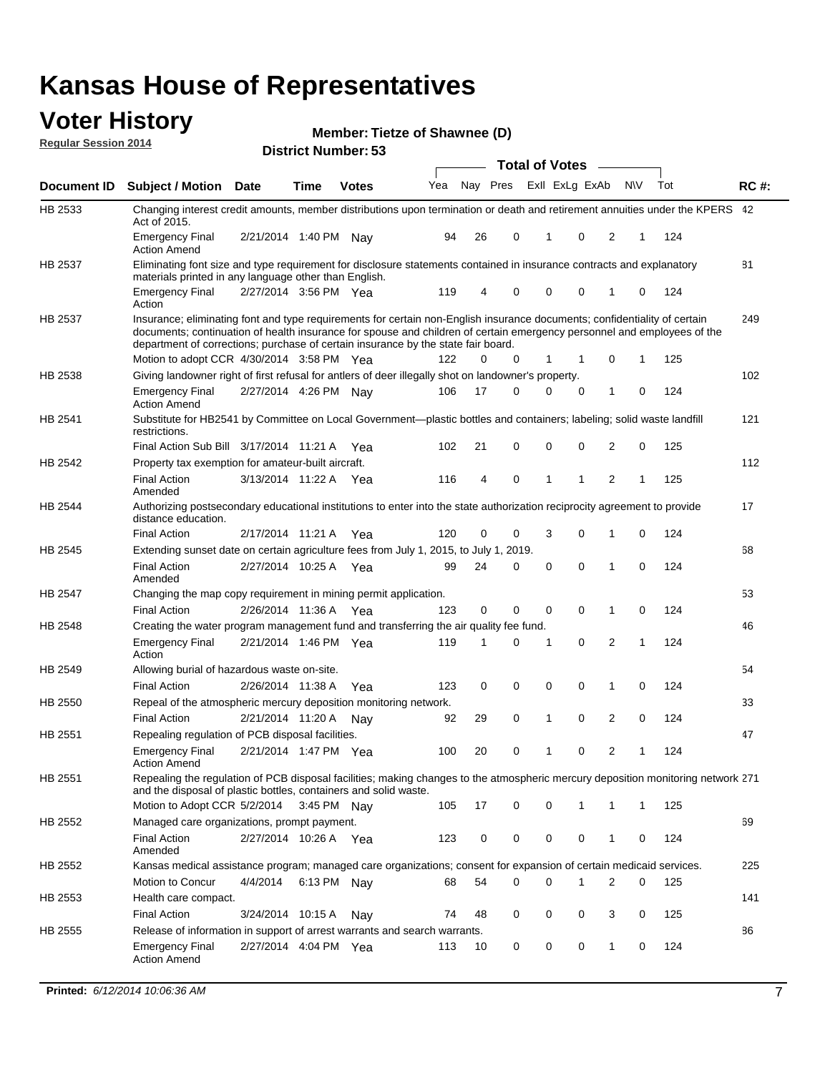#### **Voter History Regular Session 2014**

| Member: Tietze of Shawnee (D) |  |  |
|-------------------------------|--|--|
|-------------------------------|--|--|

|                    |                                                                                                                                                                                                                                                                                                                                           |                       |      | DISTILICI MUITIDEL. 33 |     |    |          | <b>Total of Votes</b> |              |                |                |   |     |             |
|--------------------|-------------------------------------------------------------------------------------------------------------------------------------------------------------------------------------------------------------------------------------------------------------------------------------------------------------------------------------------|-----------------------|------|------------------------|-----|----|----------|-----------------------|--------------|----------------|----------------|---|-----|-------------|
| <b>Document ID</b> | <b>Subject / Motion</b>                                                                                                                                                                                                                                                                                                                   | <b>Date</b>           | Time | <b>Votes</b>           | Yea |    | Nay Pres |                       |              | Exll ExLg ExAb | <b>NV</b>      |   | Tot | <b>RC#:</b> |
| HB 2533            | Changing interest credit amounts, member distributions upon termination or death and retirement annuities under the KPERS 42<br>Act of 2015.                                                                                                                                                                                              |                       |      |                        |     |    |          |                       |              |                |                |   |     |             |
|                    | <b>Emergency Final</b><br><b>Action Amend</b>                                                                                                                                                                                                                                                                                             | 2/21/2014 1:40 PM Nav |      |                        | 94  | 26 | 0        |                       | -1           | 0              | 2              | 1 | 124 |             |
| HB 2537            | Eliminating font size and type requirement for disclosure statements contained in insurance contracts and explanatory<br>materials printed in any language other than English.                                                                                                                                                            |                       |      |                        |     |    |          |                       |              |                |                |   |     | 81          |
|                    | <b>Emergency Final</b><br>Action                                                                                                                                                                                                                                                                                                          | 2/27/2014 3:56 PM Yea |      |                        | 119 | 4  | 0        |                       | 0            | $\mathbf 0$    | 1              | 0 | 124 |             |
| HB 2537            | Insurance; eliminating font and type requirements for certain non-English insurance documents; confidentiality of certain<br>documents; continuation of health insurance for spouse and children of certain emergency personnel and employees of the<br>department of corrections; purchase of certain insurance by the state fair board. |                       |      |                        |     |    |          |                       |              |                |                |   |     | 249         |
|                    | Motion to adopt CCR 4/30/2014 3:58 PM Yea                                                                                                                                                                                                                                                                                                 |                       |      |                        | 122 | 0  | 0        |                       | $\mathbf 1$  | 1              | 0              | 1 | 125 |             |
| HB 2538            | Giving landowner right of first refusal for antlers of deer illegally shot on landowner's property.                                                                                                                                                                                                                                       |                       |      |                        |     |    |          |                       |              |                |                |   |     | 102         |
|                    | <b>Emergency Final</b><br><b>Action Amend</b>                                                                                                                                                                                                                                                                                             | 2/27/2014 4:26 PM Nay |      |                        | 106 | 17 | 0        |                       | 0            | 0              | 1              | 0 | 124 |             |
| HB 2541            | Substitute for HB2541 by Committee on Local Government—plastic bottles and containers; labeling; solid waste landfill<br>restrictions.                                                                                                                                                                                                    |                       |      |                        |     |    |          |                       |              |                |                |   |     | 121         |
|                    | Final Action Sub Bill 3/17/2014 11:21 A Yea                                                                                                                                                                                                                                                                                               |                       |      |                        | 102 | 21 | 0        |                       | 0            | 0              | 2              | 0 | 125 |             |
| HB 2542            | Property tax exemption for amateur-built aircraft.                                                                                                                                                                                                                                                                                        |                       |      |                        |     |    |          |                       |              |                |                |   |     | 112         |
|                    | <b>Final Action</b><br>Amended                                                                                                                                                                                                                                                                                                            | 3/13/2014 11:22 A Yea |      |                        | 116 | 4  | 0        |                       | 1            | 1              | $\overline{2}$ | 1 | 125 |             |
| HB 2544            | Authorizing postsecondary educational institutions to enter into the state authorization reciprocity agreement to provide<br>distance education.                                                                                                                                                                                          |                       |      |                        |     |    |          |                       |              |                |                |   |     | 17          |
|                    | <b>Final Action</b>                                                                                                                                                                                                                                                                                                                       | 2/17/2014 11:21 A Yea |      |                        | 120 | 0  | 0        |                       | 3            | $\Omega$       | 1              | 0 | 124 |             |
| HB 2545            | Extending sunset date on certain agriculture fees from July 1, 2015, to July 1, 2019.                                                                                                                                                                                                                                                     |                       |      |                        |     |    |          |                       |              |                |                |   |     | 68          |
|                    | <b>Final Action</b><br>Amended                                                                                                                                                                                                                                                                                                            | 2/27/2014 10:25 A Yea |      |                        | 99  | 24 | 0        |                       | 0            | $\Omega$       | 1              | 0 | 124 |             |
| HB 2547            | Changing the map copy requirement in mining permit application.                                                                                                                                                                                                                                                                           |                       |      |                        |     |    |          |                       |              |                |                |   |     | 53          |
|                    | <b>Final Action</b>                                                                                                                                                                                                                                                                                                                       | 2/26/2014 11:36 A     |      | Yea                    | 123 | 0  | 0        |                       | $\mathbf 0$  | 0              | 1              | 0 | 124 |             |
| HB 2548            | Creating the water program management fund and transferring the air quality fee fund.                                                                                                                                                                                                                                                     |                       |      |                        |     |    |          |                       |              |                |                |   |     | 46          |
|                    | <b>Emergency Final</b><br>Action                                                                                                                                                                                                                                                                                                          | 2/21/2014 1:46 PM Yea |      |                        | 119 | 1  | 0        |                       | -1           | 0              | 2              | 1 | 124 |             |
| HB 2549            | Allowing burial of hazardous waste on-site.                                                                                                                                                                                                                                                                                               |                       |      |                        |     |    |          |                       |              |                |                |   |     | 54          |
|                    | <b>Final Action</b>                                                                                                                                                                                                                                                                                                                       | 2/26/2014 11:38 A     |      | Yea                    | 123 | 0  | 0        |                       | 0            | $\mathbf 0$    | 1              | 0 | 124 |             |
| HB 2550            | Repeal of the atmospheric mercury deposition monitoring network.                                                                                                                                                                                                                                                                          |                       |      |                        |     |    |          |                       |              |                |                |   |     | 33          |
|                    | <b>Final Action</b>                                                                                                                                                                                                                                                                                                                       | 2/21/2014 11:20 A     |      | Nav                    | 92  | 29 | 0        |                       | $\mathbf{1}$ | $\mathbf 0$    | 2              | 0 | 124 |             |
| HB 2551            | Repealing regulation of PCB disposal facilities.                                                                                                                                                                                                                                                                                          |                       |      |                        |     |    |          |                       |              |                |                |   |     | 47          |
|                    | <b>Emergency Final</b><br><b>Action Amend</b>                                                                                                                                                                                                                                                                                             | 2/21/2014 1:47 PM Yea |      |                        | 100 | 20 | 0        |                       | $\mathbf{1}$ | $\mathbf 0$    | 2              | 1 | 124 |             |
| HB 2551            | Repealing the regulation of PCB disposal facilities; making changes to the atmospheric mercury deposition monitoring network 271<br>and the disposal of plastic bottles, containers and solid waste.                                                                                                                                      |                       |      |                        |     |    |          |                       |              |                |                |   |     |             |
|                    | Motion to Adopt CCR 5/2/2014 3:45 PM Nay                                                                                                                                                                                                                                                                                                  |                       |      |                        | 105 | 17 | 0        |                       | 0            | 1              | 1              | 1 | 125 |             |
| HB 2552            | Managed care organizations, prompt payment.                                                                                                                                                                                                                                                                                               |                       |      |                        |     |    |          |                       |              |                |                |   |     | 69          |
|                    | <b>Final Action</b><br>Amended                                                                                                                                                                                                                                                                                                            | 2/27/2014 10:26 A Yea |      |                        | 123 | 0  | 0        |                       | 0            | 0              | 1              | 0 | 124 |             |
| HB 2552            | Kansas medical assistance program; managed care organizations; consent for expansion of certain medicaid services.                                                                                                                                                                                                                        |                       |      |                        |     |    |          |                       |              |                |                |   |     | 225         |
|                    | Motion to Concur                                                                                                                                                                                                                                                                                                                          | 4/4/2014              |      | 6:13 PM Nay            | 68  | 54 | 0        |                       | $\Omega$     | 1              | 2              | 0 | 125 |             |
| HB 2553            | Health care compact.                                                                                                                                                                                                                                                                                                                      |                       |      |                        |     |    |          |                       |              |                |                |   |     | 141         |
|                    | <b>Final Action</b>                                                                                                                                                                                                                                                                                                                       | 3/24/2014 10:15 A     |      | Nav                    | 74  | 48 | 0        |                       | 0            | 0              | 3              | 0 | 125 |             |
| HB 2555            | Release of information in support of arrest warrants and search warrants.                                                                                                                                                                                                                                                                 |                       |      |                        |     |    |          |                       |              |                |                |   |     | 86          |
|                    | <b>Emergency Final</b><br><b>Action Amend</b>                                                                                                                                                                                                                                                                                             | 2/27/2014 4:04 PM Yea |      |                        | 113 | 10 | 0        |                       | 0            | 0              | 1              | 0 | 124 |             |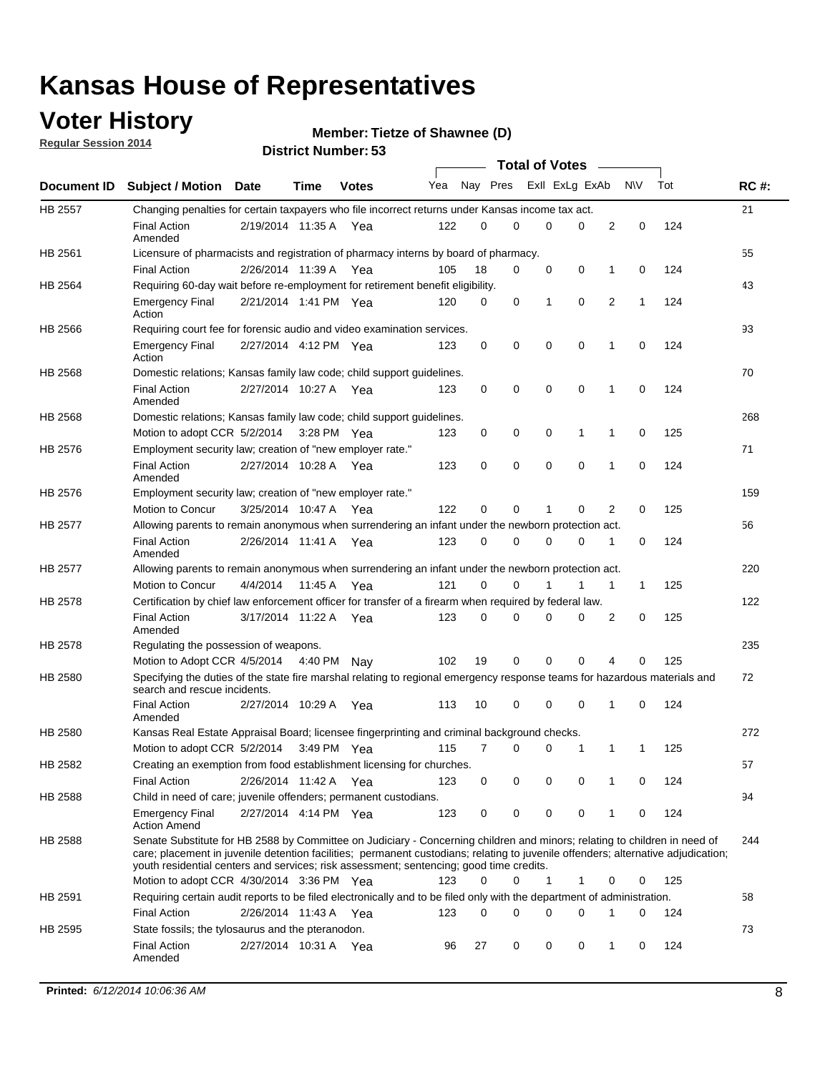### **Voter History**

**Regular Session 2014**

#### **Member: Tietze of Shawnee (D)**

|                |                                                                                                                                                                                                                                                                                                                                                           |                       |         |              |     |          |   | <b>Total of Votes</b> |             |              |              |     |             |
|----------------|-----------------------------------------------------------------------------------------------------------------------------------------------------------------------------------------------------------------------------------------------------------------------------------------------------------------------------------------------------------|-----------------------|---------|--------------|-----|----------|---|-----------------------|-------------|--------------|--------------|-----|-------------|
|                | Document ID Subject / Motion Date                                                                                                                                                                                                                                                                                                                         |                       | Time    | <b>Votes</b> | Yea | Nay Pres |   | Exll ExLg ExAb        |             |              | <b>NV</b>    | Tot | <b>RC#:</b> |
| <b>HB 2557</b> | Changing penalties for certain taxpayers who file incorrect returns under Kansas income tax act.                                                                                                                                                                                                                                                          |                       |         |              |     |          |   |                       |             |              |              |     | 21          |
|                | <b>Final Action</b><br>Amended                                                                                                                                                                                                                                                                                                                            | 2/19/2014 11:35 A     |         | Yea          | 122 | 0        | 0 | 0                     | 0           | 2            | 0            | 124 |             |
| HB 2561        | Licensure of pharmacists and registration of pharmacy interns by board of pharmacy.                                                                                                                                                                                                                                                                       |                       |         |              |     |          |   |                       |             |              |              |     | 55          |
|                | <b>Final Action</b>                                                                                                                                                                                                                                                                                                                                       | 2/26/2014 11:39 A Yea |         |              | 105 | 18       | 0 | 0                     | 0           | 1            | 0            | 124 |             |
| HB 2564        | Requiring 60-day wait before re-employment for retirement benefit eligibility.                                                                                                                                                                                                                                                                            |                       |         |              |     |          |   |                       |             |              |              |     | 43          |
|                | <b>Emergency Final</b><br>Action                                                                                                                                                                                                                                                                                                                          | 2/21/2014 1:41 PM Yea |         |              | 120 | 0        | 0 | 1                     | 0           | 2            | 1            | 124 |             |
| HB 2566        | Requiring court fee for forensic audio and video examination services.                                                                                                                                                                                                                                                                                    |                       |         |              |     |          |   |                       |             |              |              |     | 93          |
|                | <b>Emergency Final</b><br>Action                                                                                                                                                                                                                                                                                                                          | 2/27/2014 4:12 PM Yea |         |              | 123 | 0        | 0 | 0                     | $\mathbf 0$ | 1            | $\mathbf 0$  | 124 |             |
| HB 2568        | Domestic relations; Kansas family law code; child support guidelines.                                                                                                                                                                                                                                                                                     |                       |         |              |     |          |   |                       |             |              |              |     | 70          |
|                | <b>Final Action</b><br>Amended                                                                                                                                                                                                                                                                                                                            | 2/27/2014 10:27 A     |         | Yea          | 123 | 0        | 0 | 0                     | 0           | 1            | 0            | 124 |             |
| HB 2568        | Domestic relations; Kansas family law code; child support guidelines.                                                                                                                                                                                                                                                                                     |                       |         |              |     |          |   |                       |             |              |              |     | 268         |
|                | Motion to adopt CCR 5/2/2014                                                                                                                                                                                                                                                                                                                              |                       |         | 3:28 PM Yea  | 123 | 0        | 0 | 0                     | 1           | 1            | 0            | 125 |             |
| HB 2576        | Employment security law; creation of "new employer rate."                                                                                                                                                                                                                                                                                                 |                       |         |              |     |          |   |                       |             |              |              |     | 71          |
|                | <b>Final Action</b><br>Amended                                                                                                                                                                                                                                                                                                                            | 2/27/2014 10:28 A     |         | Yea          | 123 | 0        | 0 | 0                     | $\mathbf 0$ | 1            | 0            | 124 |             |
| HB 2576        | Employment security law; creation of "new employer rate."                                                                                                                                                                                                                                                                                                 |                       |         |              |     |          |   |                       |             |              |              |     | 159         |
|                | Motion to Concur                                                                                                                                                                                                                                                                                                                                          | 3/25/2014 10:47 A     |         | Yea          | 122 | 0        | 0 | 1                     | 0           | 2            | 0            | 125 |             |
| HB 2577        | Allowing parents to remain anonymous when surrendering an infant under the newborn protection act.                                                                                                                                                                                                                                                        |                       |         |              |     |          |   |                       |             |              |              |     | 56          |
|                | <b>Final Action</b><br>Amended                                                                                                                                                                                                                                                                                                                            | 2/26/2014 11:41 A Yea |         |              | 123 | 0        | 0 | 0                     | $\Omega$    | 1            | 0            | 124 |             |
| HB 2577        | Allowing parents to remain anonymous when surrendering an infant under the newborn protection act.                                                                                                                                                                                                                                                        |                       |         |              |     |          |   |                       |             |              |              |     | 220         |
|                | Motion to Concur                                                                                                                                                                                                                                                                                                                                          | 4/4/2014              | 11:45 A | Yea          | 121 | $\Omega$ | 0 |                       | 1           | $\mathbf{1}$ | $\mathbf{1}$ | 125 |             |
| HB 2578        | Certification by chief law enforcement officer for transfer of a firearm when required by federal law.                                                                                                                                                                                                                                                    |                       |         |              |     |          |   |                       |             |              |              |     | 122         |
|                | <b>Final Action</b><br>Amended                                                                                                                                                                                                                                                                                                                            | 3/17/2014 11:22 A     |         | Yea          | 123 | $\Omega$ | 0 | 0                     | $\Omega$    | 2            | 0            | 125 |             |
| HB 2578        | Regulating the possession of weapons.                                                                                                                                                                                                                                                                                                                     |                       |         |              |     |          |   |                       |             |              |              |     | 235         |
|                | Motion to Adopt CCR 4/5/2014 4:40 PM Nay                                                                                                                                                                                                                                                                                                                  |                       |         |              | 102 | 19       | 0 | 0                     | 0           | 4            | $\Omega$     | 125 |             |
| HB 2580        | Specifying the duties of the state fire marshal relating to regional emergency response teams for hazardous materials and<br>search and rescue incidents.                                                                                                                                                                                                 |                       |         |              |     |          |   |                       |             |              |              |     | 72          |
|                | <b>Final Action</b><br>Amended                                                                                                                                                                                                                                                                                                                            | 2/27/2014 10:29 A     |         | Yea          | 113 | 10       | 0 | 0                     | 0           | 1            | 0            | 124 |             |
| HB 2580        | Kansas Real Estate Appraisal Board; licensee fingerprinting and criminal background checks.                                                                                                                                                                                                                                                               |                       |         |              |     |          |   |                       |             |              |              |     | 272         |
|                | Motion to adopt CCR 5/2/2014                                                                                                                                                                                                                                                                                                                              |                       |         | 3:49 PM Yea  | 115 | 7        | 0 | 0                     | 1           | 1            | -1           | 125 |             |
| HB 2582        | Creating an exemption from food establishment licensing for churches.                                                                                                                                                                                                                                                                                     |                       |         |              |     |          |   |                       |             |              |              |     | 57          |
|                | <b>Final Action</b>                                                                                                                                                                                                                                                                                                                                       | 2/26/2014 11:42 A Yea |         |              | 123 | 0        | 0 | 0                     | 0           | 1            | 0            | 124 |             |
| HB 2588        | Child in need of care; juvenile offenders; permanent custodians.                                                                                                                                                                                                                                                                                          |                       |         |              |     |          |   |                       |             |              |              |     | 94          |
|                | <b>Emergency Final</b><br><b>Action Amend</b>                                                                                                                                                                                                                                                                                                             | 2/27/2014 4:14 PM Yea |         |              | 123 | 0        | 0 | 0                     | 0           | 1            | 0            | 124 |             |
| HB 2588        | Senate Substitute for HB 2588 by Committee on Judiciary - Concerning children and minors; relating to children in need of<br>care; placement in juvenile detention facilities; permanent custodians; relating to juvenile offenders; alternative adjudication;<br>youth residential centers and services; risk assessment; sentencing; good time credits. |                       |         |              |     |          |   |                       |             |              |              |     | 244         |
|                | Motion to adopt CCR 4/30/2014 3:36 PM Yea                                                                                                                                                                                                                                                                                                                 |                       |         |              | 123 | 0        | 0 | 1                     | 1           | 0            | 0            | 125 |             |
| HB 2591        | Requiring certain audit reports to be filed electronically and to be filed only with the department of administration.                                                                                                                                                                                                                                    |                       |         |              |     |          |   |                       |             |              |              |     | 58          |
|                | <b>Final Action</b>                                                                                                                                                                                                                                                                                                                                       | 2/26/2014 11:43 A Yea |         |              | 123 | 0        | 0 | 0                     | 0           | 1            | 0            | 124 |             |
| HB 2595        | State fossils; the tylosaurus and the pteranodon.                                                                                                                                                                                                                                                                                                         |                       |         |              |     |          |   |                       |             |              |              |     | 73          |
|                | <b>Final Action</b><br>Amended                                                                                                                                                                                                                                                                                                                            | 2/27/2014 10:31 A Yea |         |              | 96  | 27       | 0 | 0                     | 0           | 1            | 0            | 124 |             |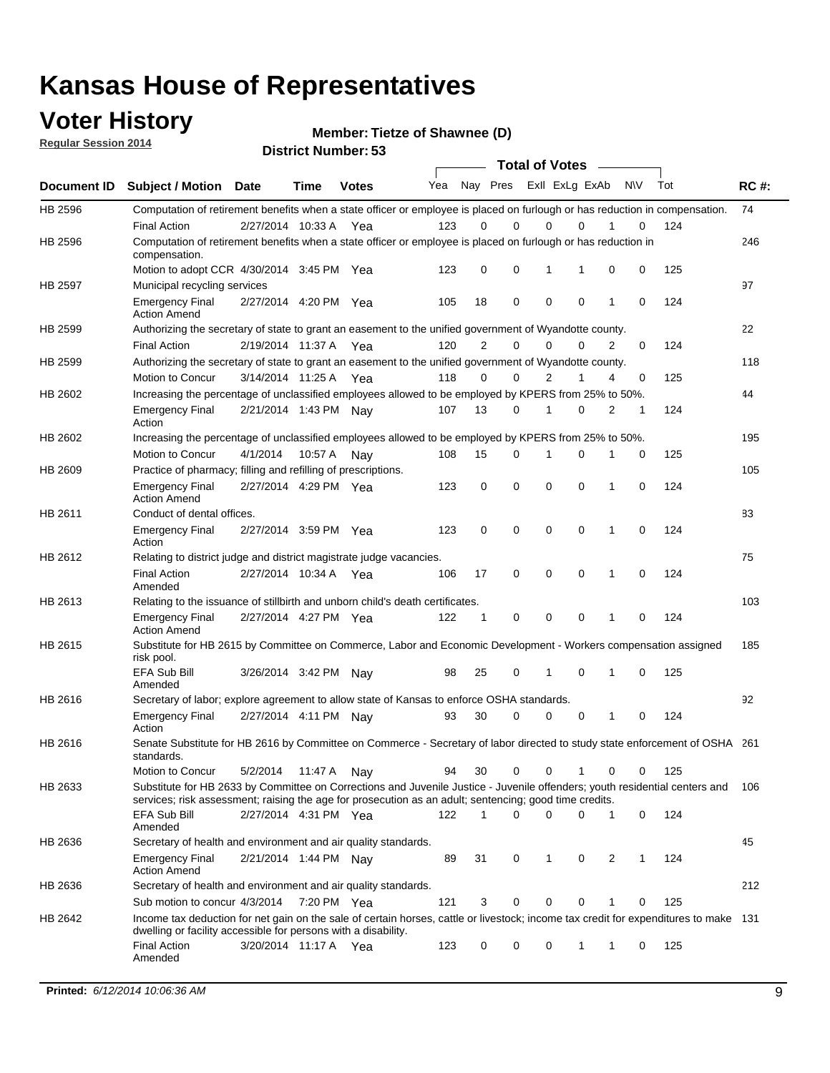### **Voter History**

**Regular Session 2014**

**Member: Tietze of Shawnee (D)** 

|  |  | <b>District Number: 53</b> |
|--|--|----------------------------|
|--|--|----------------------------|

|         |                                                                                                                                                                                                                                       | <b>Total of Votes</b>   |             |              |     |                         |             |             |             |              |           |     |             |
|---------|---------------------------------------------------------------------------------------------------------------------------------------------------------------------------------------------------------------------------------------|-------------------------|-------------|--------------|-----|-------------------------|-------------|-------------|-------------|--------------|-----------|-----|-------------|
|         | Document ID Subject / Motion Date                                                                                                                                                                                                     |                         | <b>Time</b> | <b>Votes</b> | Yea | Nay Pres ExII ExLg ExAb |             |             |             |              | <b>NV</b> | Tot | <b>RC#:</b> |
| HB 2596 | Computation of retirement benefits when a state officer or employee is placed on furlough or has reduction in compensation.                                                                                                           |                         |             |              |     |                         |             |             |             |              |           |     | 74          |
|         | <b>Final Action</b>                                                                                                                                                                                                                   | 2/27/2014 10:33 A       |             | Yea          | 123 | 0                       | 0           | $\mathbf 0$ | $\Omega$    |              | 0         | 124 |             |
| HB 2596 | Computation of retirement benefits when a state officer or employee is placed on furlough or has reduction in<br>compensation.                                                                                                        |                         |             |              |     |                         |             |             |             |              |           |     | 246         |
|         | Motion to adopt CCR 4/30/2014 3:45 PM Yea                                                                                                                                                                                             |                         |             |              | 123 | 0                       | 0           | 1           | 1           | 0            | 0         | 125 |             |
| HB 2597 | Municipal recycling services                                                                                                                                                                                                          |                         |             |              |     |                         |             |             |             |              |           |     | 97          |
|         | <b>Emergency Final</b><br><b>Action Amend</b>                                                                                                                                                                                         | 2/27/2014 4:20 PM Yea   |             |              | 105 | 18                      | 0           | $\mathbf 0$ | 0           | 1            | 0         | 124 |             |
| HB 2599 | Authorizing the secretary of state to grant an easement to the unified government of Wyandotte county.                                                                                                                                |                         |             |              |     |                         |             |             |             |              |           |     | 22          |
|         | <b>Final Action</b>                                                                                                                                                                                                                   | 2/19/2014 11:37 A       |             | Yea          | 120 | $\overline{2}$          | 0           | 0           | $\Omega$    | 2            | $\Omega$  | 124 |             |
| HB 2599 | Authorizing the secretary of state to grant an easement to the unified government of Wyandotte county.                                                                                                                                |                         |             |              |     |                         |             |             |             |              |           |     | 118         |
|         | Motion to Concur                                                                                                                                                                                                                      | 3/14/2014 11:25 A Yea   |             |              | 118 | 0                       | 0           | 2           | 1           | 4            | 0         | 125 |             |
| HB 2602 | Increasing the percentage of unclassified employees allowed to be employed by KPERS from 25% to 50%.                                                                                                                                  |                         |             |              |     |                         |             |             |             |              |           |     | 44          |
|         | <b>Emergency Final</b><br>Action                                                                                                                                                                                                      | 2/21/2014 1:43 PM Nay   |             |              | 107 | 13                      | 0           | 1           | 0           | 2            | 1         | 124 |             |
| HB 2602 | Increasing the percentage of unclassified employees allowed to be employed by KPERS from 25% to 50%.                                                                                                                                  |                         |             |              |     |                         |             |             |             |              |           |     | 195         |
|         | Motion to Concur                                                                                                                                                                                                                      | 4/1/2014                | 10:57 A     | Nav          | 108 | 15                      | 0           | 1           | $\mathbf 0$ | 1            | 0         | 125 |             |
| HB 2609 | Practice of pharmacy; filling and refilling of prescriptions.                                                                                                                                                                         |                         |             |              |     |                         |             |             |             |              |           |     | 105         |
|         | <b>Emergency Final</b><br><b>Action Amend</b>                                                                                                                                                                                         | 2/27/2014 4:29 PM Yea   |             |              | 123 | 0                       | $\mathbf 0$ | $\mathbf 0$ | $\mathbf 0$ | 1            | 0         | 124 |             |
| HB 2611 | Conduct of dental offices.                                                                                                                                                                                                            |                         |             |              |     |                         |             |             |             |              |           |     | 83          |
|         | <b>Emergency Final</b><br>Action                                                                                                                                                                                                      | 2/27/2014 3:59 PM Yea   |             |              | 123 | 0                       | $\mathbf 0$ | $\mathbf 0$ | 0           | 1            | 0         | 124 |             |
| HB 2612 | Relating to district judge and district magistrate judge vacancies.                                                                                                                                                                   |                         |             |              |     |                         |             |             |             |              |           |     | 75          |
|         | <b>Final Action</b><br>Amended                                                                                                                                                                                                        | 2/27/2014 10:34 A       |             | Yea          | 106 | 17                      | $\mathbf 0$ | $\mathbf 0$ | $\mathbf 0$ | 1            | 0         | 124 |             |
| HB 2613 | Relating to the issuance of stillbirth and unborn child's death certificates.                                                                                                                                                         |                         |             |              |     |                         |             |             |             |              |           |     | 103         |
|         | <b>Emergency Final</b><br><b>Action Amend</b>                                                                                                                                                                                         | 2/27/2014 4:27 PM Yea   |             |              | 122 | $\mathbf{1}$            | $\mathbf 0$ | $\mathbf 0$ | $\Omega$    | $\mathbf{1}$ | $\Omega$  | 124 |             |
| HB 2615 | Substitute for HB 2615 by Committee on Commerce, Labor and Economic Development - Workers compensation assigned<br>risk pool.                                                                                                         |                         |             |              |     |                         |             |             |             |              |           |     | 185         |
|         | EFA Sub Bill<br>Amended                                                                                                                                                                                                               | 3/26/2014 3:42 PM Nay   |             |              | 98  | 25                      | 0           | 1           | $\mathbf 0$ | 1            | 0         | 125 |             |
| HB 2616 | Secretary of labor; explore agreement to allow state of Kansas to enforce OSHA standards.                                                                                                                                             |                         |             |              |     |                         |             |             |             |              |           |     | 92          |
|         | <b>Emergency Final</b><br>Action                                                                                                                                                                                                      | 2/27/2014 4:11 PM Nay   |             |              | 93  | 30                      | $\Omega$    | $\mathbf 0$ | 0           | 1            | 0         | 124 |             |
| HB 2616 | Senate Substitute for HB 2616 by Committee on Commerce - Secretary of labor directed to study state enforcement of OSHA 261<br>standards.                                                                                             |                         |             |              |     |                         |             |             |             |              |           |     |             |
|         | Motion to Concur                                                                                                                                                                                                                      | 5/2/2014  11:47 A   Nay |             |              | 94  | 30                      | 0           | 0           | 1           | 0            | 0         | 125 |             |
| HB 2633 | Substitute for HB 2633 by Committee on Corrections and Juvenile Justice - Juvenile offenders; youth residential centers and<br>services; risk assessment; raising the age for prosecution as an adult; sentencing; good time credits. |                         |             |              |     |                         |             |             |             |              |           |     | 106         |
|         | EFA Sub Bill<br>Amended                                                                                                                                                                                                               | 2/27/2014 4:31 PM Yea   |             |              | 122 | 1                       | $\Omega$    | $\Omega$    | 0           | 1            | 0         | 124 |             |
| HB 2636 | Secretary of health and environment and air quality standards.                                                                                                                                                                        |                         |             |              |     |                         |             |             |             |              |           |     | 45          |
|         | <b>Emergency Final</b><br><b>Action Amend</b>                                                                                                                                                                                         | 2/21/2014 1:44 PM Nav   |             |              | 89  | 31                      | 0           | 1           | 0           | 2            | 1         | 124 |             |
| HB 2636 | Secretary of health and environment and air quality standards.                                                                                                                                                                        |                         |             |              |     |                         |             |             |             |              |           |     | 212         |
|         | Sub motion to concur 4/3/2014 7:20 PM Yea                                                                                                                                                                                             |                         |             |              | 121 | 3                       | 0           | 0           | 0           |              | 0         | 125 |             |
| HB 2642 | Income tax deduction for net gain on the sale of certain horses, cattle or livestock; income tax credit for expenditures to make 131                                                                                                  |                         |             |              |     |                         |             |             |             |              |           |     |             |
|         | dwelling or facility accessible for persons with a disability.<br><b>Final Action</b>                                                                                                                                                 | 3/20/2014 11:17 A Yea   |             |              | 123 | 0                       | 0           | 0           | 1           | 1            | 0         | 125 |             |
|         | Amended                                                                                                                                                                                                                               |                         |             |              |     |                         |             |             |             |              |           |     |             |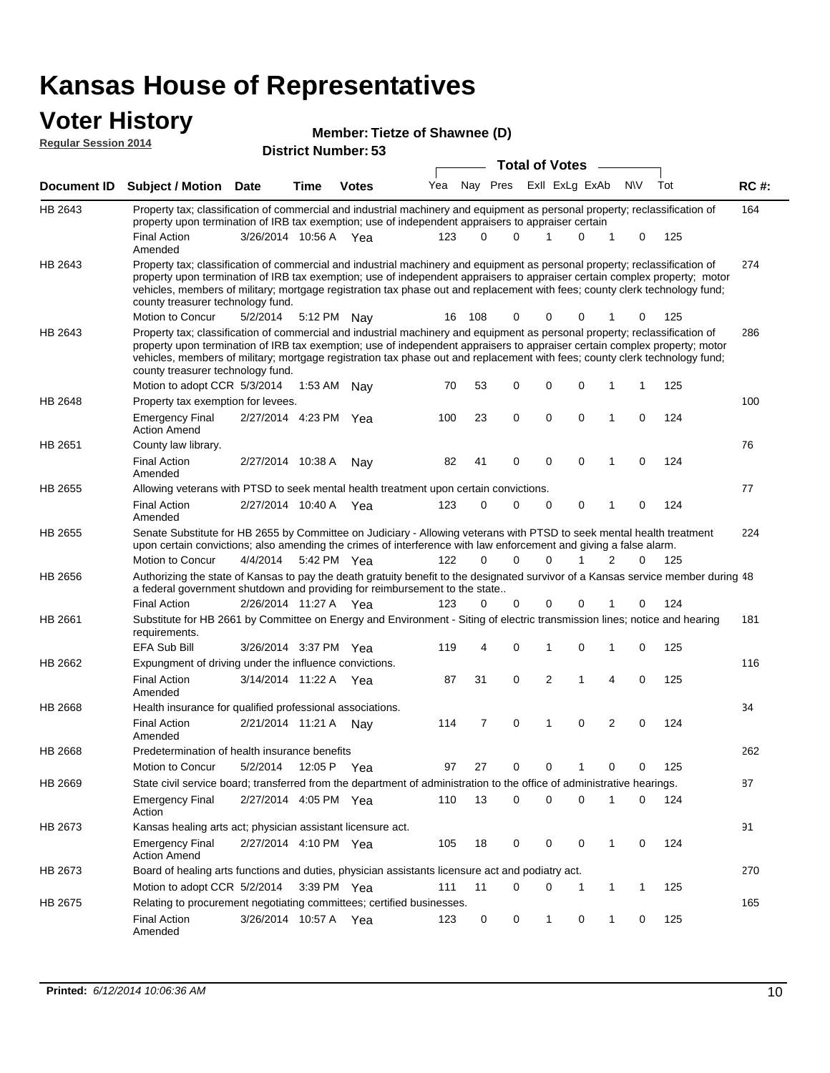# **Voter History Member: Regular Session 2014**

| Regular Session 2014 |                                                                                                                                                                                                                                                                                                                                                                                                                               | <b>District Number: 53</b><br><b>Total of Votes</b> |      |               |     |          |             |  |              |                     |     |             |     |             |
|----------------------|-------------------------------------------------------------------------------------------------------------------------------------------------------------------------------------------------------------------------------------------------------------------------------------------------------------------------------------------------------------------------------------------------------------------------------|-----------------------------------------------------|------|---------------|-----|----------|-------------|--|--------------|---------------------|-----|-------------|-----|-------------|
|                      |                                                                                                                                                                                                                                                                                                                                                                                                                               |                                                     |      |               |     |          |             |  |              |                     |     |             |     |             |
| Document ID          | <b>Subject / Motion</b>                                                                                                                                                                                                                                                                                                                                                                                                       | <b>Date</b>                                         | Time | <b>Votes</b>  | Yea |          | Nay Pres    |  |              | ExII ExLg ExAb      | N\V |             | Tot | <b>RC#:</b> |
| HB 2643              | Property tax; classification of commercial and industrial machinery and equipment as personal property; reclassification of<br>property upon termination of IRB tax exemption; use of independent appraisers to appraiser certain                                                                                                                                                                                             |                                                     |      |               |     |          |             |  |              |                     |     |             |     | 164         |
|                      | <b>Final Action</b><br>Amended                                                                                                                                                                                                                                                                                                                                                                                                | 3/26/2014 10:56 A Yea                               |      |               | 123 | $\Omega$ | $\Omega$    |  |              | 0<br>1              |     | 0           | 125 |             |
| HB 2643              | Property tax; classification of commercial and industrial machinery and equipment as personal property; reclassification of<br>property upon termination of IRB tax exemption; use of independent appraisers to appraiser certain complex property; motor<br>vehicles, members of military; mortgage registration tax phase out and replacement with fees; county clerk technology fund;<br>county treasurer technology fund. |                                                     |      |               |     |          |             |  |              |                     |     |             |     | 274         |
|                      | Motion to Concur                                                                                                                                                                                                                                                                                                                                                                                                              | 5/2/2014                                            |      | 5:12 PM Nay   | 16  | 108      | 0           |  | 0            | 0                   |     | 0           | 125 |             |
| HB 2643              | Property tax; classification of commercial and industrial machinery and equipment as personal property; reclassification of<br>property upon termination of IRB tax exemption; use of independent appraisers to appraiser certain complex property; motor<br>vehicles, members of military; mortgage registration tax phase out and replacement with fees; county clerk technology fund;<br>county treasurer technology fund. |                                                     |      |               |     |          |             |  |              |                     |     |             |     | 286         |
|                      | Motion to adopt CCR 5/3/2014                                                                                                                                                                                                                                                                                                                                                                                                  |                                                     |      | 1:53 AM Nay   | 70  | 53       | 0           |  | 0            | 0<br>1              |     | 1           | 125 |             |
| HB 2648              | Property tax exemption for levees.                                                                                                                                                                                                                                                                                                                                                                                            |                                                     |      |               |     |          |             |  |              |                     |     |             |     | 100         |
| HB 2651              | <b>Emergency Final</b><br><b>Action Amend</b>                                                                                                                                                                                                                                                                                                                                                                                 | 2/27/2014 4:23 PM Yea                               |      |               | 100 | 23       | $\mathbf 0$ |  | $\mathbf 0$  | 0<br>1              |     | $\mathbf 0$ | 124 | 76          |
|                      | County law library.<br><b>Final Action</b><br>Amended                                                                                                                                                                                                                                                                                                                                                                         | 2/27/2014 10:38 A                                   |      | Nav           | 82  | 41       | 0           |  | 0            | 0<br>1              |     | 0           | 124 |             |
| HB 2655              | Allowing veterans with PTSD to seek mental health treatment upon certain convictions.                                                                                                                                                                                                                                                                                                                                         |                                                     |      |               |     |          |             |  |              |                     |     |             |     | 77          |
|                      | <b>Final Action</b><br>Amended                                                                                                                                                                                                                                                                                                                                                                                                | 2/27/2014 10:40 A Yea                               |      |               | 123 | 0        | $\mathbf 0$ |  | $\mathbf 0$  | 0<br>1              |     | $\mathbf 0$ | 124 |             |
| HB 2655              | Senate Substitute for HB 2655 by Committee on Judiciary - Allowing veterans with PTSD to seek mental health treatment<br>upon certain convictions; also amending the crimes of interference with law enforcement and giving a false alarm.                                                                                                                                                                                    |                                                     |      |               |     |          |             |  |              |                     |     |             |     | 224         |
|                      | Motion to Concur                                                                                                                                                                                                                                                                                                                                                                                                              | 4/4/2014                                            |      | 5:42 PM Yea   | 122 | $\Omega$ | $\Omega$    |  | 0            | 1<br>2              |     | 0           | 125 |             |
| HB 2656              | Authorizing the state of Kansas to pay the death gratuity benefit to the designated survivor of a Kansas service member during 48<br>a federal government shutdown and providing for reimbursement to the state                                                                                                                                                                                                               |                                                     |      |               |     |          |             |  |              |                     |     |             |     |             |
|                      | <b>Final Action</b>                                                                                                                                                                                                                                                                                                                                                                                                           | 2/26/2014 11:27 A Yea                               |      |               | 123 | 0        | 0           |  | 0            | 0<br>1              |     | 0           | 124 |             |
| HB 2661              | Substitute for HB 2661 by Committee on Energy and Environment - Siting of electric transmission lines; notice and hearing<br>requirements.                                                                                                                                                                                                                                                                                    |                                                     |      |               |     |          |             |  |              |                     |     |             |     | 181         |
|                      | <b>EFA Sub Bill</b>                                                                                                                                                                                                                                                                                                                                                                                                           | 3/26/2014 3:37 PM Yea                               |      |               | 119 | 4        | 0           |  | 1            | 0<br>1              |     | 0           | 125 |             |
| HB 2662              | Expungment of driving under the influence convictions.                                                                                                                                                                                                                                                                                                                                                                        |                                                     |      |               |     |          |             |  |              |                     |     |             |     | 116         |
|                      | <b>Final Action</b><br>Amended                                                                                                                                                                                                                                                                                                                                                                                                | 3/14/2014 11:22 A Yea                               |      |               | 87  | 31       | 0           |  | 2            | 1<br>$\overline{4}$ |     | $\mathbf 0$ | 125 |             |
| HB 2668              | Health insurance for qualified professional associations.                                                                                                                                                                                                                                                                                                                                                                     |                                                     |      |               |     |          |             |  |              |                     |     |             |     | 34          |
|                      | <b>Final Action</b><br>Amended                                                                                                                                                                                                                                                                                                                                                                                                | 2/21/2014 11:21 A                                   |      | Nav           | 114 | 7        | 0           |  | 1            | 0<br>2              |     | 0           | 124 |             |
| HB 2668              | Predetermination of health insurance benefits                                                                                                                                                                                                                                                                                                                                                                                 |                                                     |      |               |     |          |             |  |              |                     |     |             |     | 262         |
|                      | Motion to Concur                                                                                                                                                                                                                                                                                                                                                                                                              | 5/2/2014                                            |      | 12:05 P Yea   | 97  | 27       | 0           |  | 0            | 1<br>0              |     | 0           | 125 |             |
| HB 2669              | State civil service board; transferred from the department of administration to the office of administrative hearings.                                                                                                                                                                                                                                                                                                        |                                                     |      |               |     |          |             |  |              |                     |     |             |     | 87          |
|                      | <b>Emergency Final</b><br>Action                                                                                                                                                                                                                                                                                                                                                                                              | 2/27/2014 4:05 PM Yea                               |      |               | 110 | 13       | 0           |  | 0            | 0<br>1              |     | 0           | 124 |             |
| HB 2673              | Kansas healing arts act; physician assistant licensure act.                                                                                                                                                                                                                                                                                                                                                                   |                                                     |      |               |     |          |             |  |              |                     |     |             |     | 91          |
|                      | <b>Emergency Final</b><br><b>Action Amend</b>                                                                                                                                                                                                                                                                                                                                                                                 | 2/27/2014 4:10 PM Yea                               |      |               | 105 | 18       | 0           |  | 0            | 0<br>1              |     | 0           | 124 |             |
| HB 2673              | Board of healing arts functions and duties, physician assistants licensure act and podiatry act.                                                                                                                                                                                                                                                                                                                              |                                                     |      |               |     |          |             |  |              |                     |     |             |     | 270         |
|                      | Motion to adopt CCR 5/2/2014                                                                                                                                                                                                                                                                                                                                                                                                  |                                                     |      | $3:39$ PM Yea | 111 | 11       | 0           |  | 0            | 1<br>1              |     | 1           | 125 |             |
| HB 2675              | Relating to procurement negotiating committees; certified businesses.                                                                                                                                                                                                                                                                                                                                                         |                                                     |      |               |     |          |             |  |              |                     |     |             |     | 165         |
|                      | <b>Final Action</b><br>Amended                                                                                                                                                                                                                                                                                                                                                                                                | 3/26/2014 10:57 A Yea                               |      |               | 123 | 0        | 0           |  | $\mathbf{1}$ | 0<br>1              |     | 0           | 125 |             |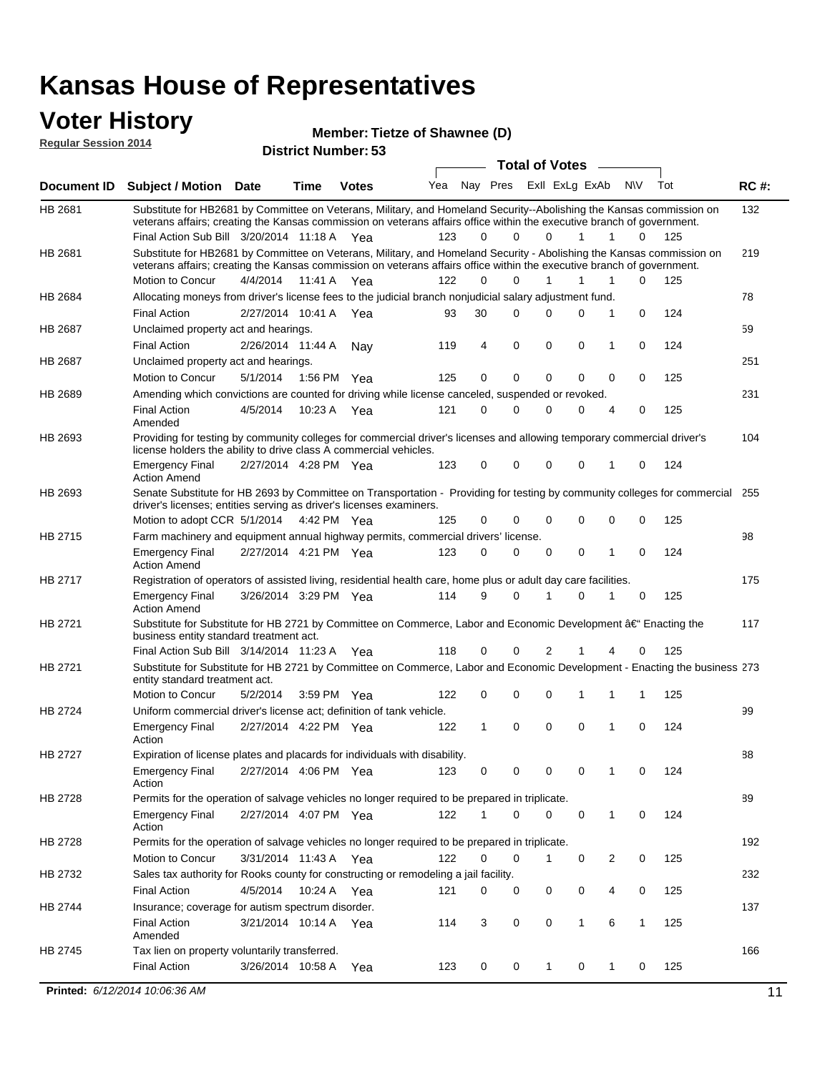#### **Voter History Regular Session 2014**

**Member: Tietze of Shawnee (D)** 

| noguiai ocoolori zu in |                                                                                                                                                                                                                                                                                               |                       |             | <b>District Number: 53</b> |     |              |             |                       |                   |           |     |             |
|------------------------|-----------------------------------------------------------------------------------------------------------------------------------------------------------------------------------------------------------------------------------------------------------------------------------------------|-----------------------|-------------|----------------------------|-----|--------------|-------------|-----------------------|-------------------|-----------|-----|-------------|
|                        |                                                                                                                                                                                                                                                                                               |                       |             |                            |     |              |             | <b>Total of Votes</b> |                   |           |     |             |
| Document ID            | <b>Subject / Motion Date</b>                                                                                                                                                                                                                                                                  |                       | <b>Time</b> | <b>Votes</b>               | Yea |              | Nay Pres    |                       | ExII ExLg ExAb    | <b>NV</b> | Tot | <b>RC#:</b> |
| HB 2681                | Substitute for HB2681 by Committee on Veterans, Military, and Homeland Security--Abolishing the Kansas commission on<br>veterans affairs; creating the Kansas commission on veterans affairs office within the executive branch of government.<br>Final Action Sub Bill 3/20/2014 11:18 A Yea |                       |             |                            | 123 | 0            | $\Omega$    | $\Omega$              | 1                 | 1<br>0    | 125 | 132         |
| HB 2681                | Substitute for HB2681 by Committee on Veterans, Military, and Homeland Security - Abolishing the Kansas commission on                                                                                                                                                                         |                       |             |                            |     |              |             |                       |                   |           |     | 219         |
|                        | veterans affairs; creating the Kansas commission on veterans affairs office within the executive branch of government.                                                                                                                                                                        |                       |             |                            |     |              |             |                       |                   |           |     |             |
|                        | Motion to Concur                                                                                                                                                                                                                                                                              | 4/4/2014              |             | 11:41 A Yea                | 122 | $\Omega$     | 0           | 1                     | 1<br>1            | 0         | 125 |             |
| HB 2684                | Allocating moneys from driver's license fees to the judicial branch nonjudicial salary adjustment fund.                                                                                                                                                                                       |                       |             |                            |     |              |             |                       |                   |           |     | 78          |
|                        | <b>Final Action</b>                                                                                                                                                                                                                                                                           | 2/27/2014 10:41 A     |             | Yea                        | 93  | 30           | $\Omega$    | $\Omega$              | 0<br>1            | 0         | 124 |             |
| HB 2687                | Unclaimed property act and hearings.                                                                                                                                                                                                                                                          |                       |             |                            |     |              |             |                       |                   |           |     | 59          |
|                        | <b>Final Action</b>                                                                                                                                                                                                                                                                           | 2/26/2014 11:44 A     |             | Nav                        | 119 | 4            | $\mathbf 0$ | 0                     | 0<br>$\mathbf{1}$ | 0         | 124 |             |
| HB 2687                | Unclaimed property act and hearings.                                                                                                                                                                                                                                                          |                       |             |                            |     |              |             |                       |                   |           |     | 251         |
|                        | Motion to Concur                                                                                                                                                                                                                                                                              | 5/1/2014              |             | 1:56 PM Yea                | 125 | $\mathbf 0$  | $\mathbf 0$ | 0                     | 0<br>0            | 0         | 125 |             |
| HB 2689                | Amending which convictions are counted for driving while license canceled, suspended or revoked.                                                                                                                                                                                              |                       |             |                            |     |              |             |                       |                   |           |     | 231         |
|                        | <b>Final Action</b><br>Amended                                                                                                                                                                                                                                                                | 4/5/2014              | 10:23 A     | Yea                        | 121 | 0            | 0           | $\Omega$              | 0                 | 0<br>4    | 125 |             |
| HB 2693                | Providing for testing by community colleges for commercial driver's licenses and allowing temporary commercial driver's<br>license holders the ability to drive class A commercial vehicles.                                                                                                  |                       |             |                            |     |              |             |                       |                   |           |     | 104         |
|                        | <b>Emergency Final</b><br><b>Action Amend</b>                                                                                                                                                                                                                                                 | 2/27/2014 4:28 PM Yea |             |                            | 123 | 0            | $\mathbf 0$ | $\Omega$              | $\mathbf 0$<br>1  | 0         | 124 |             |
| HB 2693                | Senate Substitute for HB 2693 by Committee on Transportation - Providing for testing by community colleges for commercial<br>driver's licenses; entities serving as driver's licenses examiners.                                                                                              |                       |             |                            |     |              |             |                       |                   |           |     | 255         |
|                        | Motion to adopt CCR 5/1/2014                                                                                                                                                                                                                                                                  |                       |             | 4:42 PM Yea                | 125 | 0            | 0           | 0                     | 0<br>$\Omega$     | 0         | 125 |             |
| HB 2715                | Farm machinery and equipment annual highway permits, commercial drivers' license.<br><b>Emergency Final</b>                                                                                                                                                                                   | 2/27/2014 4:21 PM Yea |             |                            | 123 | 0            | 0           | 0                     | 0<br>1            | 0         | 124 | 98          |
|                        | <b>Action Amend</b>                                                                                                                                                                                                                                                                           |                       |             |                            |     |              |             |                       |                   |           |     |             |
| HB 2717                | Registration of operators of assisted living, residential health care, home plus or adult day care facilities.                                                                                                                                                                                |                       |             |                            | 114 | 9            | $\Omega$    |                       | $\Omega$          |           |     | 175         |
|                        | <b>Emergency Final</b><br><b>Action Amend</b>                                                                                                                                                                                                                                                 | 3/26/2014 3:29 PM Yea |             |                            |     |              |             |                       |                   | 0         | 125 |             |
| HB 2721                | Substitute for Substitute for HB 2721 by Committee on Commerce, Labor and Economic Development †Enacting the<br>business entity standard treatment act.                                                                                                                                       |                       |             |                            |     |              |             |                       |                   |           |     | 117         |
|                        | Final Action Sub Bill 3/14/2014 11:23 A Yea                                                                                                                                                                                                                                                   |                       |             |                            | 118 | 0            | 0           | 2                     |                   | 0         | 125 |             |
| HB 2721                | Substitute for Substitute for HB 2721 by Committee on Commerce, Labor and Economic Development - Enacting the business 273<br>entity standard treatment act.                                                                                                                                  |                       |             |                            |     |              |             |                       |                   |           |     |             |
|                        | Motion to Concur                                                                                                                                                                                                                                                                              | 5/2/2014              |             | 3:59 PM Yea                | 122 | 0            | 0           | $\mathbf 0$           | 1                 | 1         | 125 |             |
| HB 2724                | Uniform commercial driver's license act; definition of tank vehicle.                                                                                                                                                                                                                          |                       |             |                            |     |              |             |                       |                   |           |     | 99          |
|                        | <b>Emergency Final</b>                                                                                                                                                                                                                                                                        | 2/27/2014 4:22 PM Yea |             |                            | 122 | $\mathbf{1}$ | 0           | $\mathbf 0$           | $\mathbf 0$<br>1  | 0         | 124 |             |
| HB 2727                | Action<br>Expiration of license plates and placards for individuals with disability.                                                                                                                                                                                                          |                       |             |                            |     |              |             |                       |                   |           |     | 88          |
|                        | <b>Emergency Final</b><br>Action                                                                                                                                                                                                                                                              | 2/27/2014 4:06 PM Yea |             |                            | 123 | 0            | 0           | 0                     | 0<br>-1           | 0         | 124 |             |
| HB 2728                | Permits for the operation of salvage vehicles no longer required to be prepared in triplicate.                                                                                                                                                                                                |                       |             |                            |     |              |             |                       |                   |           |     | 89          |
|                        | <b>Emergency Final</b><br>Action                                                                                                                                                                                                                                                              | 2/27/2014 4:07 PM Yea |             |                            | 122 | 1            | 0           | $\mathbf 0$           | 0<br>1            | 0         | 124 |             |
| HB 2728                | Permits for the operation of salvage vehicles no longer required to be prepared in triplicate.                                                                                                                                                                                                |                       |             |                            |     |              |             |                       |                   |           |     | 192         |
|                        | Motion to Concur                                                                                                                                                                                                                                                                              | 3/31/2014 11:43 A Yea |             |                            | 122 | 0            | 0           | 1                     | 0                 | 2<br>0    | 125 |             |
| HB 2732                | Sales tax authority for Rooks county for constructing or remodeling a jail facility.                                                                                                                                                                                                          |                       |             |                            |     |              |             |                       |                   |           |     | 232         |
|                        | <b>Final Action</b>                                                                                                                                                                                                                                                                           | 4/5/2014              |             | 10:24 A Yea                | 121 | 0            | 0           | 0                     | 0                 | 0<br>4    | 125 |             |
| HB 2744                | Insurance; coverage for autism spectrum disorder.                                                                                                                                                                                                                                             |                       |             |                            |     |              |             |                       |                   |           |     | 137         |
|                        | <b>Final Action</b><br>Amended                                                                                                                                                                                                                                                                | 3/21/2014 10:14 A Yea |             |                            | 114 | 3            | 0           | 0                     | $\mathbf{1}$<br>6 | 1         | 125 |             |
| HB 2745                | Tax lien on property voluntarily transferred.                                                                                                                                                                                                                                                 |                       |             |                            |     |              |             |                       |                   |           |     | 166         |
|                        |                                                                                                                                                                                                                                                                                               |                       |             |                            |     |              |             |                       |                   |           |     |             |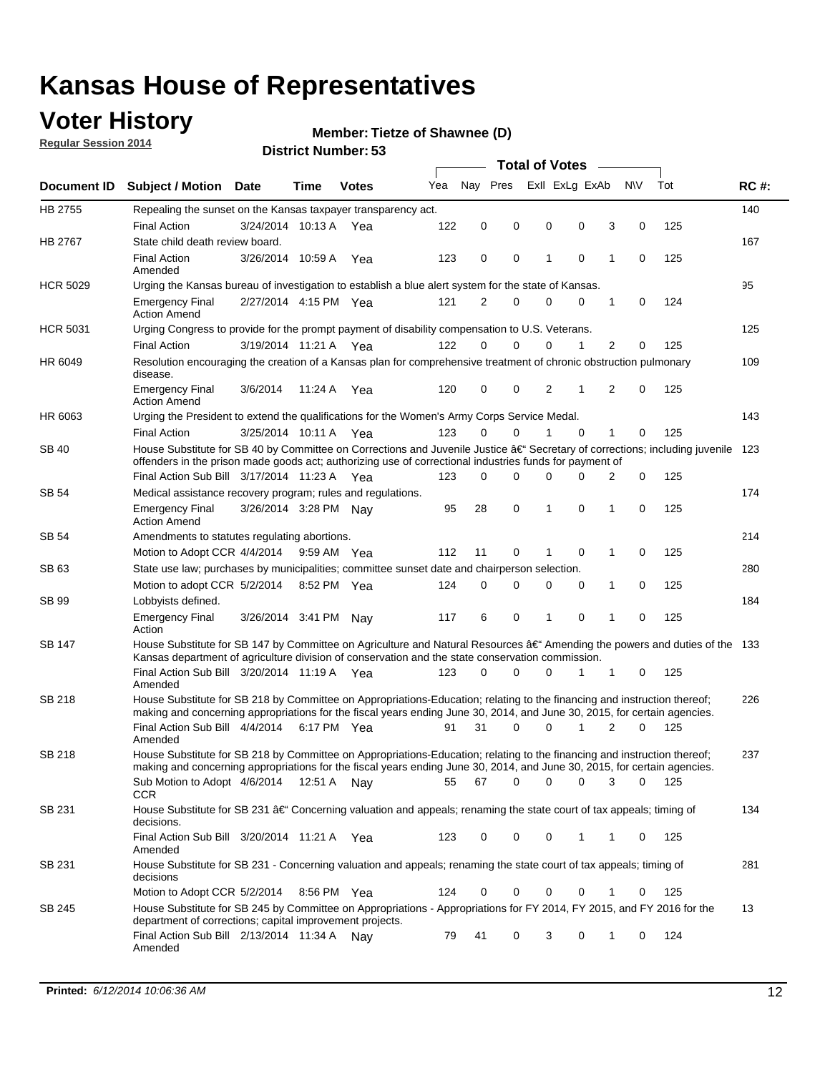### **Voter History**

**Regular Session 2014**

#### **Member: Tietze of Shawnee (D)**

| <b>Document ID</b><br>HB 2755<br>HB 2767 | <b>Subject / Motion Date</b><br>Repealing the sunset on the Kansas taxpayer transparency act.<br><b>Final Action</b><br>State child death review board.<br><b>Final Action</b><br>Amended<br>Urging the Kansas bureau of investigation to establish a blue alert system for the state of Kansas.<br><b>Emergency Final</b><br><b>Action Amend</b><br>Urging Congress to provide for the prompt payment of disability compensation to U.S. Veterans. | 3/24/2014 10:13 A<br>3/26/2014 10:59 A<br>2/27/2014 4:15 PM Yea | Time        | <b>Votes</b><br>Yea<br>Yea | Yea<br>122 | Nay Pres<br>0 | 0        | 0        | Exll ExLg ExAb<br>0 | 3              | N\V      | Tot | <b>RC#:</b><br>140 |
|------------------------------------------|-----------------------------------------------------------------------------------------------------------------------------------------------------------------------------------------------------------------------------------------------------------------------------------------------------------------------------------------------------------------------------------------------------------------------------------------------------|-----------------------------------------------------------------|-------------|----------------------------|------------|---------------|----------|----------|---------------------|----------------|----------|-----|--------------------|
|                                          |                                                                                                                                                                                                                                                                                                                                                                                                                                                     |                                                                 |             |                            |            |               |          |          |                     |                |          |     |                    |
|                                          |                                                                                                                                                                                                                                                                                                                                                                                                                                                     |                                                                 |             |                            |            |               |          |          |                     |                |          |     |                    |
|                                          |                                                                                                                                                                                                                                                                                                                                                                                                                                                     |                                                                 |             |                            |            |               |          |          |                     |                | 0        | 125 |                    |
|                                          |                                                                                                                                                                                                                                                                                                                                                                                                                                                     |                                                                 |             |                            |            |               |          |          |                     |                |          |     | 167                |
|                                          |                                                                                                                                                                                                                                                                                                                                                                                                                                                     |                                                                 |             |                            | 123        | 0             | 0        | 1        | $\mathbf 0$         | 1              | 0        | 125 |                    |
| <b>HCR 5029</b>                          |                                                                                                                                                                                                                                                                                                                                                                                                                                                     |                                                                 |             |                            |            |               |          |          |                     |                |          |     | 95                 |
|                                          |                                                                                                                                                                                                                                                                                                                                                                                                                                                     |                                                                 |             |                            | 121        | 2             | 0        | 0        | 0                   | 1              | 0        | 124 |                    |
| <b>HCR 5031</b>                          |                                                                                                                                                                                                                                                                                                                                                                                                                                                     |                                                                 |             |                            |            |               |          |          |                     |                |          |     | 125                |
|                                          | <b>Final Action</b>                                                                                                                                                                                                                                                                                                                                                                                                                                 | 3/19/2014 11:21 A Yea                                           |             |                            | 122        | $\Omega$      | 0        | 0        | 1                   | 2              | 0        | 125 |                    |
| HR 6049                                  | Resolution encouraging the creation of a Kansas plan for comprehensive treatment of chronic obstruction pulmonary<br>disease.                                                                                                                                                                                                                                                                                                                       |                                                                 |             |                            |            |               |          |          |                     |                |          |     | 109                |
|                                          | <b>Emergency Final</b><br><b>Action Amend</b>                                                                                                                                                                                                                                                                                                                                                                                                       | 3/6/2014                                                        | 11:24 A     | Yea                        | 120        | 0             | 0        | 2        | 1                   | $\overline{2}$ | 0        | 125 |                    |
| HR 6063                                  | Urging the President to extend the qualifications for the Women's Army Corps Service Medal.                                                                                                                                                                                                                                                                                                                                                         |                                                                 |             |                            |            |               |          |          |                     |                |          |     | 143                |
|                                          | <b>Final Action</b>                                                                                                                                                                                                                                                                                                                                                                                                                                 | 3/25/2014 10:11 A Yea                                           |             |                            | 123        | $\Omega$      | $\Omega$ | 1        | $\Omega$            | 1              | 0        | 125 |                    |
| SB 40                                    | House Substitute for SB 40 by Committee on Corrections and Juvenile Justice †Secretary of corrections; including juvenile<br>offenders in the prison made goods act; authorizing use of correctional industries funds for payment of                                                                                                                                                                                                                |                                                                 |             |                            |            |               |          |          |                     |                |          |     | 123                |
|                                          | Final Action Sub Bill 3/17/2014 11:23 A Yea                                                                                                                                                                                                                                                                                                                                                                                                         |                                                                 |             |                            | 123        | 0             | 0        | $\Omega$ | $\Omega$            | 2              | 0        | 125 |                    |
| SB 54                                    | Medical assistance recovery program; rules and regulations.                                                                                                                                                                                                                                                                                                                                                                                         |                                                                 |             |                            |            |               |          |          |                     |                |          |     | 174                |
|                                          | <b>Emergency Final</b><br><b>Action Amend</b>                                                                                                                                                                                                                                                                                                                                                                                                       | 3/26/2014 3:28 PM Nay                                           |             |                            | 95         | 28            | 0        | 1        | $\mathbf 0$         | 1              | 0        | 125 |                    |
| <b>SB 54</b>                             | Amendments to statutes regulating abortions.                                                                                                                                                                                                                                                                                                                                                                                                        |                                                                 |             |                            |            |               |          |          |                     |                |          |     | 214                |
|                                          | Motion to Adopt CCR 4/4/2014                                                                                                                                                                                                                                                                                                                                                                                                                        |                                                                 | 9:59 AM Yea |                            | 112        | 11            | 0        | 1        | $\mathbf 0$         | 1              | 0        | 125 |                    |
| SB 63                                    | State use law; purchases by municipalities; committee sunset date and chairperson selection.                                                                                                                                                                                                                                                                                                                                                        |                                                                 |             |                            |            |               |          |          |                     |                |          |     | 280                |
|                                          | Motion to adopt CCR 5/2/2014                                                                                                                                                                                                                                                                                                                                                                                                                        |                                                                 | 8:52 PM Yea |                            | 124        | 0             | 0        | 0        | $\mathbf 0$         | 1              | 0        | 125 |                    |
| <b>SB 99</b>                             | Lobbyists defined.                                                                                                                                                                                                                                                                                                                                                                                                                                  |                                                                 |             |                            |            |               |          |          |                     |                |          |     | 184                |
|                                          | <b>Emergency Final</b><br>Action                                                                                                                                                                                                                                                                                                                                                                                                                    | 3/26/2014 3:41 PM                                               |             | Nav                        | 117        | 6             | 0        | 1        | $\mathbf 0$         | 1              | 0        | 125 |                    |
| SB 147                                   | House Substitute for SB 147 by Committee on Agriculture and Natural Resources †Amending the powers and duties of the 133<br>Kansas department of agriculture division of conservation and the state conservation commission.                                                                                                                                                                                                                        |                                                                 |             |                            |            |               |          |          |                     |                |          |     |                    |
|                                          | Final Action Sub Bill 3/20/2014 11:19 A Yea<br>Amended                                                                                                                                                                                                                                                                                                                                                                                              |                                                                 |             |                            | 123        | 0             | 0        | 0        | 1                   | 1              | 0        | 125 |                    |
| <b>SB 218</b>                            | House Substitute for SB 218 by Committee on Appropriations-Education; relating to the financing and instruction thereof;                                                                                                                                                                                                                                                                                                                            |                                                                 |             |                            |            |               |          |          |                     |                |          |     | 226                |
|                                          | making and concerning appropriations for the fiscal years ending June 30, 2014, and June 30, 2015, for certain agencies.<br>Final Action Sub Bill 4/4/2014                                                                                                                                                                                                                                                                                          |                                                                 | 6:17 PM Yea |                            | 91         | 31            | $\Omega$ | 0        | 1                   | $\overline{2}$ | $\Omega$ | 125 |                    |
|                                          | Amended                                                                                                                                                                                                                                                                                                                                                                                                                                             |                                                                 |             |                            |            |               |          |          |                     |                |          |     |                    |
| <b>SB 218</b>                            | House Substitute for SB 218 by Committee on Appropriations-Education; relating to the financing and instruction thereof;                                                                                                                                                                                                                                                                                                                            |                                                                 |             |                            |            |               |          |          |                     |                |          |     | 237                |
|                                          | making and concerning appropriations for the fiscal years ending June 30, 2014, and June 30, 2015, for certain agencies.                                                                                                                                                                                                                                                                                                                            |                                                                 |             |                            |            |               |          |          |                     |                |          |     |                    |
|                                          | Sub Motion to Adopt 4/6/2014 12:51 A Nay                                                                                                                                                                                                                                                                                                                                                                                                            |                                                                 |             |                            | 55         | 67            | 0        | 0        | 0                   | 3              | 0        | 125 |                    |
| SB 231                                   | <b>CCR</b><br>House Substitute for SB 231 †Concerning valuation and appeals; renaming the state court of tax appeals; timing of<br>decisions.                                                                                                                                                                                                                                                                                                       |                                                                 |             |                            |            |               |          |          |                     |                |          |     | 134                |
|                                          | Final Action Sub Bill 3/20/2014 11:21 A Yea<br>Amended                                                                                                                                                                                                                                                                                                                                                                                              |                                                                 |             |                            | 123        | 0             | 0        | 0        | $\mathbf{1}$        | 1              | 0        | 125 |                    |
| SB 231                                   | House Substitute for SB 231 - Concerning valuation and appeals; renaming the state court of tax appeals; timing of<br>decisions                                                                                                                                                                                                                                                                                                                     |                                                                 |             |                            |            |               |          |          |                     |                |          |     | 281                |
|                                          | Motion to Adopt CCR 5/2/2014 8:56 PM Yea                                                                                                                                                                                                                                                                                                                                                                                                            |                                                                 |             |                            | 124        | 0             | 0        | 0        | $\mathbf 0$         | 1              | 0        | 125 |                    |
| SB 245                                   | House Substitute for SB 245 by Committee on Appropriations - Appropriations for FY 2014, FY 2015, and FY 2016 for the<br>department of corrections; capital improvement projects.                                                                                                                                                                                                                                                                   |                                                                 |             |                            |            |               |          |          |                     |                |          |     | 13                 |
|                                          | Final Action Sub Bill 2/13/2014 11:34 A Nay<br>Amended                                                                                                                                                                                                                                                                                                                                                                                              |                                                                 |             |                            | 79         | 41            | 0        | 3        | 0                   | 1              | 0        | 124 |                    |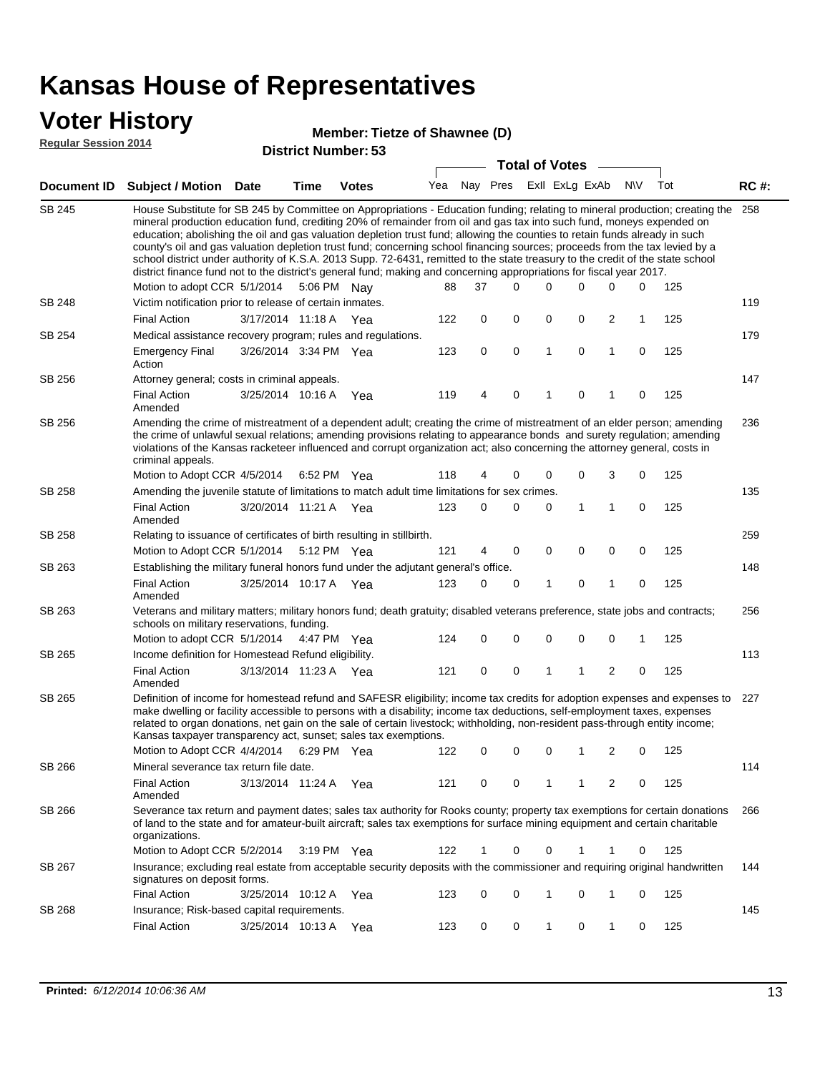### **Voter History**

#### **Member: Tietze of Shawnee (D)**

**Regular Session 2014**

|               |                                                                                                                                                                                                                                                                                                                                                                                                                                                                                                                                                                                                                                                                                                                                                                                                               |                       |      | DISTILICI MUITIDEL. 33 |     |             |             | <b>Total of Votes</b> |                |                |             |     |             |
|---------------|---------------------------------------------------------------------------------------------------------------------------------------------------------------------------------------------------------------------------------------------------------------------------------------------------------------------------------------------------------------------------------------------------------------------------------------------------------------------------------------------------------------------------------------------------------------------------------------------------------------------------------------------------------------------------------------------------------------------------------------------------------------------------------------------------------------|-----------------------|------|------------------------|-----|-------------|-------------|-----------------------|----------------|----------------|-------------|-----|-------------|
|               | Document ID Subject / Motion                                                                                                                                                                                                                                                                                                                                                                                                                                                                                                                                                                                                                                                                                                                                                                                  | <b>Date</b>           | Time | <b>Votes</b>           | Yea | Nay Pres    |             |                       | Exll ExLg ExAb |                | <b>NV</b>   | Tot | <b>RC#:</b> |
| <b>SB 245</b> | House Substitute for SB 245 by Committee on Appropriations - Education funding; relating to mineral production; creating the<br>mineral production education fund, crediting 20% of remainder from oil and gas tax into such fund, moneys expended on<br>education; abolishing the oil and gas valuation depletion trust fund; allowing the counties to retain funds already in such<br>county's oil and gas valuation depletion trust fund; concerning school financing sources; proceeds from the tax levied by a<br>school district under authority of K.S.A. 2013 Supp. 72-6431, remitted to the state treasury to the credit of the state school<br>district finance fund not to the district's general fund; making and concerning appropriations for fiscal year 2017.<br>Motion to adopt CCR 5/1/2014 |                       |      | 5:06 PM Nay            | 88  | 37          | $\Omega$    | 0                     | $\Omega$       | 0              | 0           | 125 | 258         |
| <b>SB 248</b> | Victim notification prior to release of certain inmates.                                                                                                                                                                                                                                                                                                                                                                                                                                                                                                                                                                                                                                                                                                                                                      |                       |      |                        |     |             |             |                       |                |                |             |     | 119         |
|               | <b>Final Action</b>                                                                                                                                                                                                                                                                                                                                                                                                                                                                                                                                                                                                                                                                                                                                                                                           | 3/17/2014 11:18 A Yea |      |                        | 122 | 0           | 0           | 0                     | 0              | 2              | 1           | 125 |             |
| SB 254        | Medical assistance recovery program; rules and regulations.                                                                                                                                                                                                                                                                                                                                                                                                                                                                                                                                                                                                                                                                                                                                                   |                       |      |                        |     |             |             |                       |                |                |             |     | 179         |
|               | <b>Emergency Final</b><br>Action                                                                                                                                                                                                                                                                                                                                                                                                                                                                                                                                                                                                                                                                                                                                                                              | 3/26/2014 3:34 PM Yea |      |                        | 123 | $\mathbf 0$ | 0           | 1                     | $\mathbf 0$    | $\mathbf{1}$   | $\mathbf 0$ | 125 |             |
| SB 256        | Attorney general; costs in criminal appeals.                                                                                                                                                                                                                                                                                                                                                                                                                                                                                                                                                                                                                                                                                                                                                                  |                       |      |                        |     |             |             |                       |                |                |             |     | 147         |
|               | <b>Final Action</b><br>Amended                                                                                                                                                                                                                                                                                                                                                                                                                                                                                                                                                                                                                                                                                                                                                                                | 3/25/2014 10:16 A     |      | Yea                    | 119 | 4           | 0           | 1                     | 0              | 1              | 0           | 125 |             |
| SB 256        | Amending the crime of mistreatment of a dependent adult; creating the crime of mistreatment of an elder person; amending<br>the crime of unlawful sexual relations; amending provisions relating to appearance bonds and surety regulation; amending<br>violations of the Kansas racketeer influenced and corrupt organization act; also concerning the attorney general, costs in<br>criminal appeals.                                                                                                                                                                                                                                                                                                                                                                                                       |                       |      |                        |     |             |             |                       |                |                |             |     | 236         |
|               | Motion to Adopt CCR 4/5/2014                                                                                                                                                                                                                                                                                                                                                                                                                                                                                                                                                                                                                                                                                                                                                                                  |                       |      | 6:52 PM Yea            | 118 | 4           | 0           | 0                     | $\mathbf 0$    | 3              | 0           | 125 |             |
| SB 258        | Amending the juvenile statute of limitations to match adult time limitations for sex crimes.<br><b>Final Action</b><br>Amended                                                                                                                                                                                                                                                                                                                                                                                                                                                                                                                                                                                                                                                                                | 3/20/2014 11:21 A Yea |      |                        | 123 | 0           | 0           | 0                     | 1              | 1              | 0           | 125 | 135         |
| SB 258        | Relating to issuance of certificates of birth resulting in stillbirth.                                                                                                                                                                                                                                                                                                                                                                                                                                                                                                                                                                                                                                                                                                                                        |                       |      |                        |     |             |             |                       |                |                |             |     | 259         |
|               | Motion to Adopt CCR 5/1/2014 5:12 PM Yea                                                                                                                                                                                                                                                                                                                                                                                                                                                                                                                                                                                                                                                                                                                                                                      |                       |      |                        | 121 | 4           | 0           | 0                     | $\mathbf 0$    | 0              | 0           | 125 |             |
| SB 263        | Establishing the military funeral honors fund under the adjutant general's office.                                                                                                                                                                                                                                                                                                                                                                                                                                                                                                                                                                                                                                                                                                                            |                       |      |                        |     |             |             |                       |                |                |             |     | 148         |
|               | <b>Final Action</b><br>Amended                                                                                                                                                                                                                                                                                                                                                                                                                                                                                                                                                                                                                                                                                                                                                                                | 3/25/2014 10:17 A Yea |      |                        | 123 | 0           | 0           | 1                     | $\mathbf 0$    | 1              | 0           | 125 |             |
| SB 263        | Veterans and military matters; military honors fund; death gratuity; disabled veterans preference, state jobs and contracts;<br>schools on military reservations, funding.                                                                                                                                                                                                                                                                                                                                                                                                                                                                                                                                                                                                                                    |                       |      |                        |     |             |             |                       |                |                |             |     | 256         |
|               | Motion to adopt CCR 5/1/2014 4:47 PM Yea                                                                                                                                                                                                                                                                                                                                                                                                                                                                                                                                                                                                                                                                                                                                                                      |                       |      |                        | 124 | 0           | 0           | 0                     | 0              | 0              | 1           | 125 |             |
| SB 265        | Income definition for Homestead Refund eligibility.                                                                                                                                                                                                                                                                                                                                                                                                                                                                                                                                                                                                                                                                                                                                                           |                       |      |                        |     |             |             |                       |                |                |             |     | 113         |
|               | <b>Final Action</b><br>Amended                                                                                                                                                                                                                                                                                                                                                                                                                                                                                                                                                                                                                                                                                                                                                                                | 3/13/2014 11:23 A Yea |      |                        | 121 | 0           | 0           | 1                     | 1              | $\overline{2}$ | 0           | 125 |             |
| SB 265        | Definition of income for homestead refund and SAFESR eligibility; income tax credits for adoption expenses and expenses to<br>make dwelling or facility accessible to persons with a disability; income tax deductions, self-employment taxes, expenses<br>related to organ donations, net gain on the sale of certain livestock; withholding, non-resident pass-through entity income;<br>Kansas taxpayer transparency act, sunset; sales tax exemptions.                                                                                                                                                                                                                                                                                                                                                    |                       |      |                        |     |             |             |                       |                |                |             |     | 227         |
|               | Motion to Adopt CCR 4/4/2014 6:29 PM Yea                                                                                                                                                                                                                                                                                                                                                                                                                                                                                                                                                                                                                                                                                                                                                                      |                       |      |                        | 122 | 0           | 0           | 0                     | 1              | 2              | 0           | 125 |             |
| SB 266        | Mineral severance tax return file date.                                                                                                                                                                                                                                                                                                                                                                                                                                                                                                                                                                                                                                                                                                                                                                       |                       |      |                        |     |             |             |                       |                |                |             |     | 114         |
|               | <b>Final Action</b><br>Amended                                                                                                                                                                                                                                                                                                                                                                                                                                                                                                                                                                                                                                                                                                                                                                                | 3/13/2014 11:24 A     |      | Yea                    | 121 | 0           | 0           | 1                     | 1              | 2              | 0           | 125 |             |
| SB 266        | Severance tax return and payment dates; sales tax authority for Rooks county; property tax exemptions for certain donations<br>of land to the state and for amateur-built aircraft; sales tax exemptions for surface mining equipment and certain charitable<br>organizations.                                                                                                                                                                                                                                                                                                                                                                                                                                                                                                                                |                       |      |                        |     |             |             |                       |                |                |             |     | 266         |
|               | Motion to Adopt CCR 5/2/2014                                                                                                                                                                                                                                                                                                                                                                                                                                                                                                                                                                                                                                                                                                                                                                                  |                       |      | 3:19 PM Yea            | 122 | 1           | 0           | 0                     | 1              | 1              | 0           | 125 |             |
| SB 267        | Insurance; excluding real estate from acceptable security deposits with the commissioner and requiring original handwritten<br>signatures on deposit forms.                                                                                                                                                                                                                                                                                                                                                                                                                                                                                                                                                                                                                                                   |                       |      |                        |     |             |             |                       |                |                |             |     | 144         |
|               | <b>Final Action</b>                                                                                                                                                                                                                                                                                                                                                                                                                                                                                                                                                                                                                                                                                                                                                                                           | 3/25/2014 10:12 A     |      | Yea                    | 123 | 0           | $\mathbf 0$ | 1                     | 0              | 1              | 0           | 125 |             |
| SB 268        | Insurance; Risk-based capital requirements.                                                                                                                                                                                                                                                                                                                                                                                                                                                                                                                                                                                                                                                                                                                                                                   |                       |      |                        |     |             |             |                       |                |                |             |     | 145         |
|               | <b>Final Action</b>                                                                                                                                                                                                                                                                                                                                                                                                                                                                                                                                                                                                                                                                                                                                                                                           | 3/25/2014 10:13 A     |      | Yea                    | 123 | 0           | 0           | 1                     | 0              | 1              | 0           | 125 |             |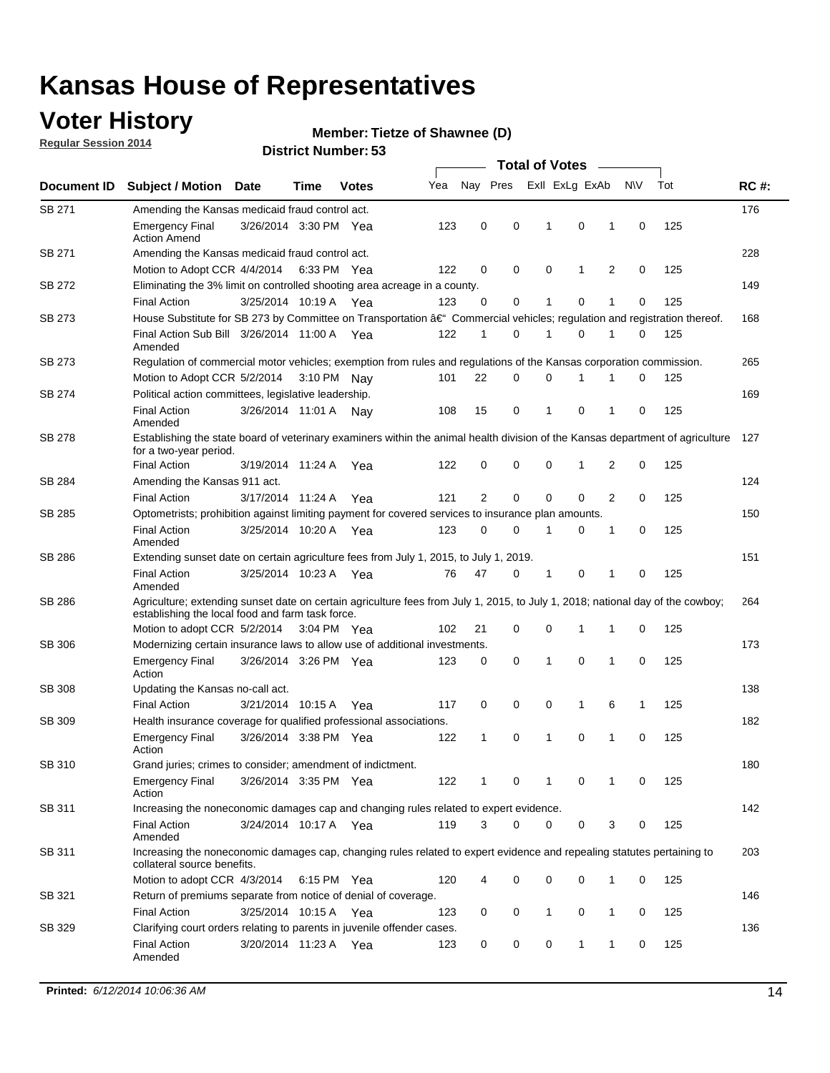### **Voter History**

**Regular Session 2014**

#### **Member: Tietze of Shawnee (D)**

|               | <b>Total of Votes</b>                                                                                                                                                              |                       |      |              |     |                |             |                |              |   |             |     |             |
|---------------|------------------------------------------------------------------------------------------------------------------------------------------------------------------------------------|-----------------------|------|--------------|-----|----------------|-------------|----------------|--------------|---|-------------|-----|-------------|
| Document ID   | <b>Subject / Motion Date</b>                                                                                                                                                       |                       | Time | <b>Votes</b> | Yea | Nay Pres       |             | Exll ExLg ExAb |              |   | N\V         | Tot | <b>RC#:</b> |
| SB 271        | Amending the Kansas medicaid fraud control act.                                                                                                                                    |                       |      |              |     |                |             |                |              |   |             |     | 176         |
|               | <b>Emergency Final</b><br><b>Action Amend</b>                                                                                                                                      | 3/26/2014 3:30 PM Yea |      |              | 123 | 0              | 0           | 1              | 0            | 1 | $\mathbf 0$ | 125 |             |
| SB 271        | Amending the Kansas medicaid fraud control act.                                                                                                                                    |                       |      |              |     |                |             |                |              |   |             |     | 228         |
|               | Motion to Adopt CCR 4/4/2014 6:33 PM Yea                                                                                                                                           |                       |      |              | 122 | 0              | 0           | 0              | 1            | 2 | 0           | 125 |             |
| SB 272        | Eliminating the 3% limit on controlled shooting area acreage in a county.                                                                                                          |                       |      |              |     |                |             |                |              |   |             |     | 149         |
|               | <b>Final Action</b>                                                                                                                                                                | 3/25/2014 10:19 A Yea |      |              | 123 | 0              | 0           | 1              | 0            | 1 | $\mathbf 0$ | 125 |             |
| SB 273        | House Substitute for SB 273 by Committee on Transportation †Commercial vehicles; regulation and registration thereof.                                                              |                       |      |              |     |                |             |                |              |   |             |     | 168         |
|               | Final Action Sub Bill 3/26/2014 11:00 A Yea<br>Amended                                                                                                                             |                       |      |              | 122 | 1              | 0           | 1              | 0            | 1 | 0           | 125 |             |
| SB 273        | Regulation of commercial motor vehicles; exemption from rules and regulations of the Kansas corporation commission.                                                                |                       |      |              |     |                |             |                |              |   |             |     | 265         |
|               | Motion to Adopt CCR 5/2/2014 3:10 PM Nay                                                                                                                                           |                       |      |              | 101 | 22             | 0           | 0              | 1            | 1 | 0           | 125 |             |
| SB 274        | Political action committees, legislative leadership.                                                                                                                               |                       |      |              |     |                |             |                |              |   |             |     | 169         |
|               | <b>Final Action</b><br>Amended                                                                                                                                                     | 3/26/2014 11:01 A Nav |      |              | 108 | 15             | 0           | -1             | 0            | 1 | 0           | 125 |             |
| <b>SB 278</b> | Establishing the state board of veterinary examiners within the animal health division of the Kansas department of agriculture<br>for a two-year period.                           |                       |      |              |     |                |             |                |              |   |             |     | 127         |
|               | <b>Final Action</b>                                                                                                                                                                | 3/19/2014 11:24 A     |      | Yea          | 122 | 0              | 0           | 0              | 1            | 2 | 0           | 125 |             |
| SB 284        | Amending the Kansas 911 act.                                                                                                                                                       |                       |      |              |     |                |             |                |              |   |             |     | 124         |
|               | <b>Final Action</b>                                                                                                                                                                | 3/17/2014 11:24 A     |      | Yea          | 121 | $\overline{2}$ | $\mathbf 0$ | $\mathbf 0$    | $\mathbf 0$  | 2 | 0           | 125 |             |
| SB 285        | Optometrists; prohibition against limiting payment for covered services to insurance plan amounts.                                                                                 |                       |      |              |     |                |             |                |              |   |             |     | 150         |
|               | <b>Final Action</b><br>Amended                                                                                                                                                     | 3/25/2014 10:20 A     |      | Yea          | 123 | 0              | 0           | $\mathbf{1}$   | 0            | 1 | 0           | 125 |             |
| SB 286        | Extending sunset date on certain agriculture fees from July 1, 2015, to July 1, 2019.                                                                                              |                       |      |              |     |                |             |                |              |   |             |     | 151         |
|               | <b>Final Action</b><br>Amended                                                                                                                                                     | 3/25/2014 10:23 A Yea |      |              | 76  | 47             | 0           | $\mathbf{1}$   | 0            | 1 | 0           | 125 |             |
| SB 286        | Agriculture; extending sunset date on certain agriculture fees from July 1, 2015, to July 1, 2018; national day of the cowboy;<br>establishing the local food and farm task force. |                       |      |              |     |                |             |                |              |   |             |     | 264         |
|               | Motion to adopt CCR 5/2/2014 3:04 PM Yea                                                                                                                                           |                       |      |              | 102 | 21             | 0           | 0              | 1            | 1 | 0           | 125 |             |
| SB 306        | Modernizing certain insurance laws to allow use of additional investments.                                                                                                         |                       |      |              |     |                |             |                |              |   |             |     | 173         |
|               | <b>Emergency Final</b>                                                                                                                                                             | 3/26/2014 3:26 PM Yea |      |              | 123 | 0              | 0           | 1              | $\mathbf 0$  | 1 | 0           | 125 |             |
|               | Action                                                                                                                                                                             |                       |      |              |     |                |             |                |              |   |             |     |             |
| <b>SB 308</b> | Updating the Kansas no-call act.                                                                                                                                                   |                       |      |              |     |                |             |                |              |   |             |     | 138         |
|               | <b>Final Action</b>                                                                                                                                                                | 3/21/2014 10:15 A     |      | Yea          | 117 | 0              | 0           | 0              | $\mathbf{1}$ | 6 | 1           | 125 |             |
| SB 309        | Health insurance coverage for qualified professional associations.                                                                                                                 |                       |      |              |     |                |             |                |              |   |             |     | 182         |
|               | <b>Emergency Final</b><br>Action                                                                                                                                                   | 3/26/2014 3:38 PM Yea |      |              | 122 | 1              | 0           | 1              | 0            | 1 | 0           | 125 |             |
| SB 310        | Grand juries; crimes to consider; amendment of indictment.                                                                                                                         |                       |      |              |     |                |             |                |              |   |             |     | 180         |
|               | <b>Emergency Final</b><br>Action                                                                                                                                                   | 3/26/2014 3:35 PM Yea |      |              | 122 | 1              | 0           | 1              | 0            | 1 | 0           | 125 |             |
| SB 311        | Increasing the noneconomic damages cap and changing rules related to expert evidence.                                                                                              |                       |      |              |     |                |             |                |              |   |             |     | 142         |
|               | <b>Final Action</b><br>Amended                                                                                                                                                     | 3/24/2014 10:17 A Yea |      |              | 119 | 3              | $\Omega$    | 0              | 0            | 3 | 0           | 125 |             |
| SB 311        | Increasing the noneconomic damages cap, changing rules related to expert evidence and repealing statutes pertaining to<br>collateral source benefits.                              |                       |      |              |     |                |             |                |              |   |             |     | 203         |
|               | Motion to adopt CCR 4/3/2014 6:15 PM Yea                                                                                                                                           |                       |      |              | 120 | 4              | 0           | 0              | 0            | 1 | 0           | 125 |             |
| SB 321        | Return of premiums separate from notice of denial of coverage.                                                                                                                     |                       |      |              |     |                |             |                |              |   |             |     | 146         |
|               | <b>Final Action</b>                                                                                                                                                                | 3/25/2014 10:15 A Yea |      |              | 123 | 0              | 0           | 1              | 0            | 1 | 0           | 125 |             |
| SB 329        | Clarifying court orders relating to parents in juvenile offender cases.<br><b>Final Action</b><br>Amended                                                                          | 3/20/2014 11:23 A Yea |      |              | 123 | 0              | 0           | 0              | 1            | 1 | 0           | 125 | 136         |
|               |                                                                                                                                                                                    |                       |      |              |     |                |             |                |              |   |             |     |             |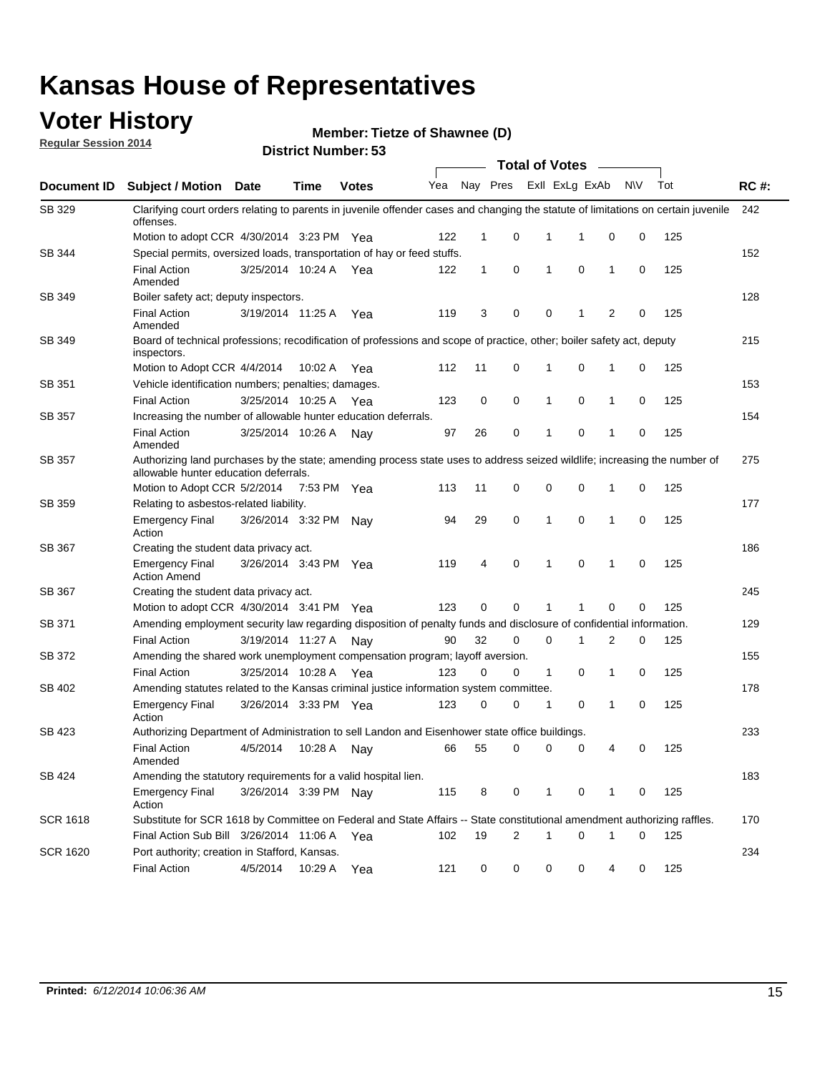### **Voter History**

**Regular Session 2014**

#### **Member: Tietze of Shawnee (D)**

|                    | <b>Total of Votes</b>                                                                                                                                              |                       |             |              |     |              |          |              |                |              |           |     |             |
|--------------------|--------------------------------------------------------------------------------------------------------------------------------------------------------------------|-----------------------|-------------|--------------|-----|--------------|----------|--------------|----------------|--------------|-----------|-----|-------------|
| <b>Document ID</b> | <b>Subject / Motion Date</b>                                                                                                                                       |                       | Time        | <b>Votes</b> | Yea |              | Nay Pres |              | Exll ExLg ExAb |              | <b>NV</b> | Tot | <b>RC#:</b> |
| SB 329             | Clarifying court orders relating to parents in juvenile offender cases and changing the statute of limitations on certain juvenile<br>offenses.                    |                       |             |              |     |              |          |              |                |              |           |     | 242         |
|                    | Motion to adopt CCR 4/30/2014 3:23 PM Yea                                                                                                                          |                       |             |              | 122 | $\mathbf 1$  | 0        | 1            | -1             | 0            | 0         | 125 |             |
| SB 344             | Special permits, oversized loads, transportation of hay or feed stuffs.                                                                                            |                       |             |              |     |              |          |              |                |              |           |     | 152         |
|                    | <b>Final Action</b><br>Amended                                                                                                                                     | 3/25/2014 10:24 A     |             | Yea          | 122 | $\mathbf{1}$ | 0        | 1            | 0              | $\mathbf{1}$ | 0         | 125 |             |
| <b>SB 349</b>      | Boiler safety act; deputy inspectors.                                                                                                                              |                       |             |              |     |              |          |              |                |              |           |     | 128         |
|                    | <b>Final Action</b><br>Amended                                                                                                                                     | 3/19/2014 11:25 A     |             | Yea          | 119 | 3            | 0        | 0            | 1              | 2            | 0         | 125 |             |
| SB 349             | Board of technical professions; recodification of professions and scope of practice, other; boiler safety act, deputy<br>inspectors.                               |                       |             |              |     |              |          |              |                |              |           |     | 215         |
|                    | Motion to Adopt CCR 4/4/2014                                                                                                                                       |                       | 10:02 A     | Yea          | 112 | 11           | 0        | 1            | 0              | 1            | 0         | 125 |             |
| SB 351             | Vehicle identification numbers; penalties; damages.                                                                                                                |                       |             |              |     |              |          |              |                |              |           |     | 153         |
|                    | <b>Final Action</b>                                                                                                                                                | 3/25/2014 10:25 A     |             | Yea          | 123 | 0            | 0        | 1            | 0              | 1            | 0         | 125 |             |
| SB 357             | Increasing the number of allowable hunter education deferrals.                                                                                                     |                       |             |              |     |              |          |              |                |              |           |     | 154         |
|                    | <b>Final Action</b><br>Amended                                                                                                                                     | 3/25/2014 10:26 A     |             | Nav          | 97  | 26           | 0        | $\mathbf{1}$ | 0              | 1            | 0         | 125 |             |
| SB 357             | Authorizing land purchases by the state; amending process state uses to address seized wildlife; increasing the number of<br>allowable hunter education deferrals. |                       |             |              |     |              |          |              |                |              |           |     | 275         |
|                    | Motion to Adopt CCR 5/2/2014                                                                                                                                       |                       | 7:53 PM Yea |              | 113 | 11           | 0        | 0            | $\mathbf 0$    | 1            | 0         | 125 |             |
| SB 359             | Relating to asbestos-related liability.                                                                                                                            |                       |             |              |     |              |          |              |                |              |           |     | 177         |
|                    | <b>Emergency Final</b><br>Action                                                                                                                                   | 3/26/2014 3:32 PM Nay |             |              | 94  | 29           | 0        | 1            | $\mathbf 0$    | 1            | 0         | 125 |             |
| <b>SB 367</b>      | Creating the student data privacy act.                                                                                                                             |                       |             |              |     |              |          |              |                |              |           |     | 186         |
|                    | <b>Emergency Final</b><br><b>Action Amend</b>                                                                                                                      | 3/26/2014 3:43 PM Yea |             |              | 119 | 4            | 0        | 1            | 0              | 1            | 0         | 125 |             |
| SB 367             | Creating the student data privacy act.                                                                                                                             |                       |             |              |     |              |          |              |                |              |           |     | 245         |
|                    | Motion to adopt CCR 4/30/2014 3:41 PM Yea                                                                                                                          |                       |             |              | 123 | 0            | 0        | 1            | 1              | 0            | 0         | 125 |             |
| SB 371             | Amending employment security law regarding disposition of penalty funds and disclosure of confidential information.                                                |                       |             |              |     |              |          |              |                |              |           |     | 129         |
|                    | <b>Final Action</b>                                                                                                                                                | 3/19/2014 11:27 A     |             | Nav          | 90  | 32           | 0        | $\mathbf 0$  | 1              | 2            | 0         | 125 |             |
| SB 372             | Amending the shared work unemployment compensation program; layoff aversion.                                                                                       |                       |             |              |     |              |          |              |                |              |           |     | 155         |
|                    | <b>Final Action</b>                                                                                                                                                | 3/25/2014 10:28 A     |             | Yea          | 123 | 0            | 0        | 1            | 0              | 1            | 0         | 125 |             |
| SB 402             | Amending statutes related to the Kansas criminal justice information system committee.                                                                             |                       |             |              |     |              |          |              |                |              |           |     | 178         |
|                    | <b>Emergency Final</b><br>Action                                                                                                                                   | 3/26/2014 3:33 PM Yea |             |              | 123 | 0            | 0        | $\mathbf{1}$ | 0              | $\mathbf{1}$ | 0         | 125 |             |
| SB 423             | Authorizing Department of Administration to sell Landon and Eisenhower state office buildings.                                                                     |                       |             |              |     |              |          |              |                |              |           |     | 233         |
|                    | <b>Final Action</b><br>Amended                                                                                                                                     | 4/5/2014              | 10:28 A     | Nay          | 66  | 55           | 0        | 0            | 0              | 4            | 0         | 125 |             |
| SB 424             | Amending the statutory requirements for a valid hospital lien.                                                                                                     |                       |             |              |     |              |          |              |                |              |           |     | 183         |
|                    | <b>Emergency Final</b><br>Action                                                                                                                                   | 3/26/2014 3:39 PM Nay |             |              | 115 | 8            | 0        | 1            | 0              | 1            | 0         | 125 |             |
| <b>SCR 1618</b>    | Substitute for SCR 1618 by Committee on Federal and State Affairs -- State constitutional amendment authorizing raffles.                                           |                       |             |              |     |              |          |              |                |              |           |     | 170         |
|                    | Final Action Sub Bill 3/26/2014 11:06 A Yea                                                                                                                        |                       |             |              | 102 | 19           | 2        | 1            | 0              | 1            | 0         | 125 |             |
| <b>SCR 1620</b>    | Port authority; creation in Stafford, Kansas.                                                                                                                      |                       |             |              |     |              |          |              |                |              |           |     | 234         |
|                    | <b>Final Action</b>                                                                                                                                                | 4/5/2014              | 10:29 A     | Yea          | 121 | 0            | 0        | 0            | 0              | 4            | 0         | 125 |             |